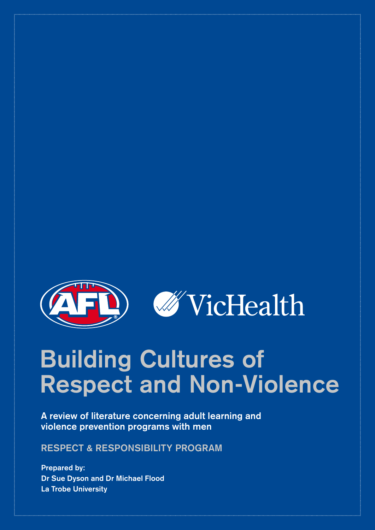

# **Building Cultures of Respect and Non-Violence**

**A review of literature concerning adult learning and violence prevention programs with men**

**Respect & Responsibility Program**

**Prepared by: Dr Sue Dyson and Dr Michael Flood La Trobe University**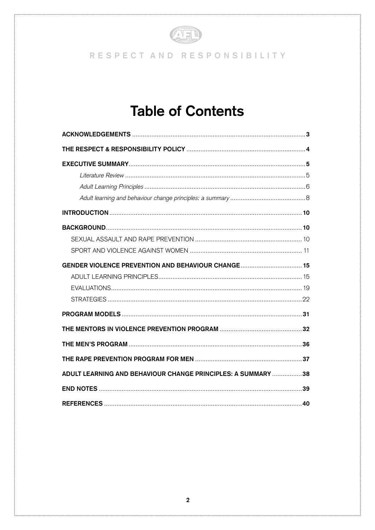

# RESPECT AND RESPONSIBILITY

# **Table of Contents**

| GENDER VIOLENCE PREVENTION AND BEHAVIOUR CHANGE 15           |  |
|--------------------------------------------------------------|--|
|                                                              |  |
|                                                              |  |
|                                                              |  |
|                                                              |  |
|                                                              |  |
|                                                              |  |
|                                                              |  |
| ADULT LEARNING AND BEHAVIOUR CHANGE PRINCIPLES: A SUMMARY 38 |  |
|                                                              |  |
|                                                              |  |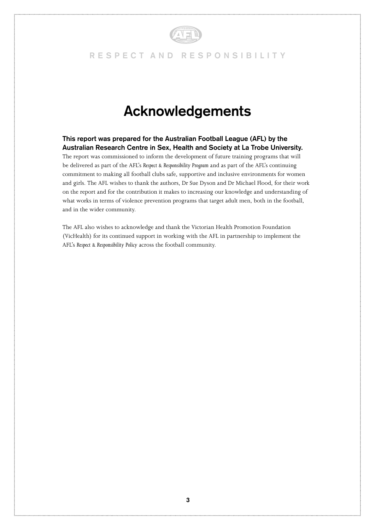

# **Acknowledgements**

**This report was prepared for the Australian Football League (AFL) by the Australian Research Centre in Sex, Health and Society at La Trobe University.** 

The report was commissioned to inform the development of future training programs that will be delivered as part of the AFL's *Respect & Responsibility Program* and as part of the AFL's continuing commitment to making all football clubs safe, supportive and inclusive environments for women and girls. The AFL wishes to thank the authors, Dr Sue Dyson and Dr Michael Flood, for their work on the report and for the contribution it makes to increasing our knowledge and understanding of what works in terms of violence prevention programs that target adult men, both in the football, and in the wider community.

The AFL also wishes to acknowledge and thank the Victorian Health Promotion Foundation (VicHealth) for its continued support in working with the AFL in partnership to implement the AFL's *Respect & Responsibility Policy* across the football community.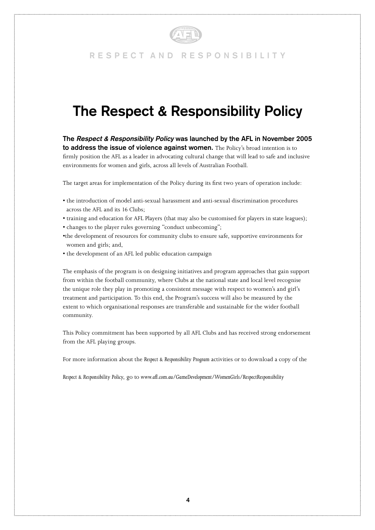

# **The Respect & Responsibility Policy**

**The** *Respect & Responsibility Policy* **was launched by the AFL in November 2005 to address the issue of violence against women.** The Policy's broad intention is to firmly position the AFL as a leader in advocating cultural change that will lead to safe and inclusive environments for women and girls, across all levels of Australian Football.

The target areas for implementation of the Policy during its first two years of operation include:

- the introduction of model anti-sexual harassment and anti-sexual discrimination procedures across the AFL and its 16 Clubs;
- training and education for AFL Players (that may also be customised for players in state leagues);
- changes to the player rules governing "conduct unbecoming";
- •the development of resources for community clubs to ensure safe, supportive environments for women and girls; and,
- the development of an AFL led public education campaign

The emphasis of the program is on designing initiatives and program approaches that gain support from within the football community, where Clubs at the national state and local level recognise the unique role they play in promoting a consistent message with respect to women's and girl's treatment and participation. To this end, the Program's success will also be measured by the extent to which organisational responses are transferable and sustainable for the wider football community.

This Policy commitment has been supported by all AFL Clubs and has received strong endorsement from the AFL playing groups.

For more information about the *Respect & Responsibility Program* activities or to download a copy of the

*Respect & Responsibility Policy*, go to *www.afl.com.au/GameDevelopment/WomenGirls/RespectResponsibility*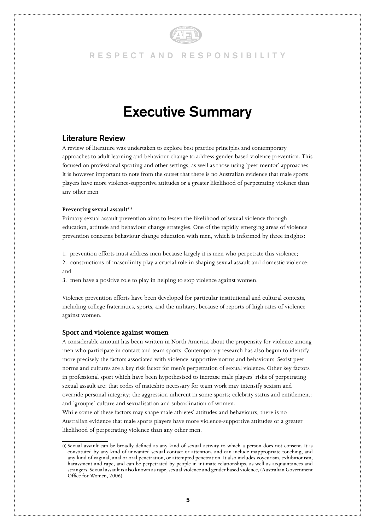

# **Executive Summary**

### **Literature Review**

A review of literature was undertaken to explore best practice principles and contemporary approaches to adult learning and behaviour change to address gender-based violence prevention. This focused on professional sporting and other settings, as well as those using 'peer mentor' approaches. It is however important to note from the outset that there is no Australian evidence that male sports players have more violence-supportive attitudes or a greater likelihood of perpetrating violence than any other men.

#### Preventing sexual assault<sup>(i)</sup>

Primary sexual assault prevention aims to lessen the likelihood of sexual violence through education, attitude and behaviour change strategies. One of the rapidly emerging areas of violence prevention concerns behaviour change education with men, which is informed by three insights:

1. prevention efforts must address men because largely it is men who perpetrate this violence;

2. constructions of masculinity play a crucial role in shaping sexual assault and domestic violence; and

3. men have a positive role to play in helping to stop violence against women.

Violence prevention efforts have been developed for particular institutional and cultural contexts, including college fraternities, sports, and the military, because of reports of high rates of violence against women.

#### **Sport and violence against women**

A considerable amount has been written in North America about the propensity for violence among men who participate in contact and team sports. Contemporary research has also begun to identify more precisely the factors associated with violence-supportive norms and behaviours. Sexist peer norms and cultures are a key risk factor for men's perpetration of sexual violence. Other key factors in professional sport which have been hypothesised to increase male players' risks of perpetrating sexual assault are: that codes of mateship necessary for team work may intensify sexism and override personal integrity; the aggression inherent in some sports; celebrity status and entitlement; and 'groupie' culture and sexualisation and subordination of women.

While some of these factors may shape male athletes' attitudes and behaviours, there is no Australian evidence that male sports players have more violence-supportive attitudes or a greater likelihood of perpetrating violence than any other men.

<sup>(</sup>i) Sexual assault can be broadly defined as any kind of sexual activity to which a person does not consent. It is constituted by any kind of unwanted sexual contact or attention, and can include inappropriate touching, and any kind of vaginal, anal or oral penetration, or attempted penetration. It also includes voyeurism, exhibitionism, harassment and rape, and can be perpetrated by people in intimate relationships, as well as acquaintances and strangers. Sexual assault is also known as rape, sexual violence and gender based violence, (Australian Government Office for Women, 2006).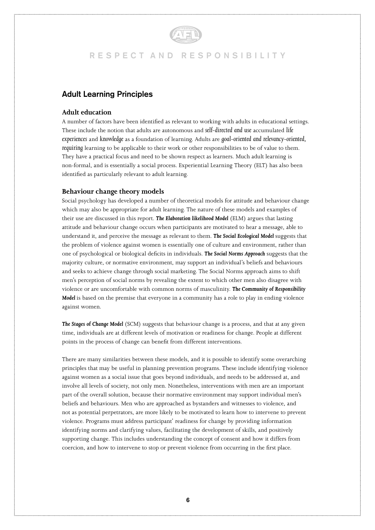### **Adult Learning Principles**

#### **Adult education**

A number of factors have been identified as relevant to working with adults in educational settings. These include the notion that adults are autonomous and *self-directed and use* accumulated *life experiences* and *knowledge* as a foundation of learning. Adults are *goal-oriented and relevancy-oriented, requiring* learning to be applicable to their work or other responsibilities to be of value to them. They have a practical focus and need to be shown respect as learners. Much adult learning is non-formal, and is essentially a social process. Experiential Learning Theory (ELT) has also been identified as particularly relevant to adult learning.

#### **Behaviour change theory models**

Social psychology has developed a number of theoretical models for attitude and behaviour change which may also be appropriate for adult learning. The nature of these models and examples of their use are discussed in this report. *The Elaboration likelihood Model* (ELM) argues that lasting attitude and behaviour change occurs when participants are motivated to hear a message, able to understand it, and perceive the message as relevant to them. *The Social Ecological Model* suggests that the problem of violence against women is essentially one of culture and environment, rather than one of psychological or biological deficits in individuals. *The Social Norms Approach* suggests that the majority culture, or normative environment, may support an individual's beliefs and behaviours and seeks to achieve change through social marketing. The Social Norms approach aims to shift men's perception of social norms by revealing the extent to which other men also disagree with violence or are uncomfortable with common norms of masculinity. *The Community of Responsibility Model* is based on the premise that everyone in a community has a role to play in ending violence against women.

*The Stages of Change Model* (SCM) suggests that behaviour change is a process, and that at any given time, individuals are at different levels of motivation or readiness for change. People at different points in the process of change can benefit from different interventions.

There are many similarities between these models, and it is possible to identify some overarching principles that may be useful in planning prevention programs. These include identifying violence against women as a social issue that goes beyond individuals, and needs to be addressed at, and involve all levels of society, not only men. Nonetheless, interventions with men are an important part of the overall solution, because their normative environment may support individual men's beliefs and behaviours. Men who are approached as bystanders and witnesses to violence, and not as potential perpetrators, are more likely to be motivated to learn how to intervene to prevent violence. Programs must address participant' readiness for change by providing information identifying norms and clarifying values, facilitating the development of skills, and positively supporting change. This includes understanding the concept of consent and how it differs from coercion, and how to intervene to stop or prevent violence from occurring in the first place.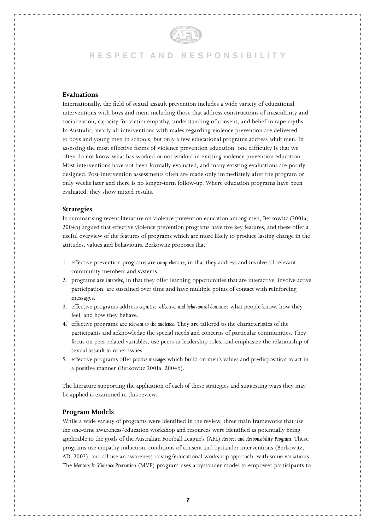#### **Evaluations**

Internationally, the field of sexual assault prevention includes a wide variety of educational interventions with boys and men, including those that address constructions of masculinity and socialization, capacity for victim empathy, understanding of consent, and belief in rape myths. In Australia, nearly all interventions with males regarding violence prevention are delivered to boys and young men in schools, but only a few educational programs address adult men. In assessing the most effective forms of violence prevention education, one difficulty is that we often do not know what has worked or not worked in existing violence prevention education. Most interventions have not been formally evaluated, and many existing evaluations are poorly designed. Post-intervention assessments often are made only immediately after the program or only weeks later and there is no longer-term follow-up. Where education programs have been evaluated, they show mixed results.

#### **Strategies**

In summarising recent literature on violence prevention education among men, Berkowitz (2001a, 2004b) argued that effective violence prevention programs have five key features, and these offer a useful overview of the features of programs which are more likely to produce lasting change in the attitudes, values and behaviours. Berkowitz proposes that:

- 1. effective prevention programs are *comprehensive*, in that they address and involve all relevant community members and systems.
- 2. programs are *intensive*, in that they offer learning opportunities that are interactive, involve active participation, are sustained over time and have multiple points of contact with reinforcing messages.
- 3. effective programs address *cognitive, affective, and behavioural domains*: what people know, how they feel, and how they behave.
- 4. effective programs are *relevant to the audience*. They are tailored to the characteristics of the participants and acknowledge the special needs and concerns of particular communities. They focus on peer-related variables, use peers in leadership roles, and emphasize the relationship of sexual assault to other issues.
- 5. effective programs offer *positive messages* which build on men's values and predisposition to act in a positive manner (Berkowitz 2001a, 2004b).

The literature supporting the application of each of these strategies and suggesting ways they may be applied is examined in this review.

#### **Program Models**

While a wide variety of programs were identified in the review, three main frameworks that use the one-time awareness/education workshop and resources were identified as potentially being applicable to the goals of the Australian Football League's (AFL) *Respect and Responsibility Program*. These programs use empathy induction, conditions of consent and bystander interventions (Berkowitz, AD, 2002), and all use an awareness raising/educational workshop approach, with some variations. The *Mentors In Violence Prevention* (MVP) program uses a bystander model to empower participants to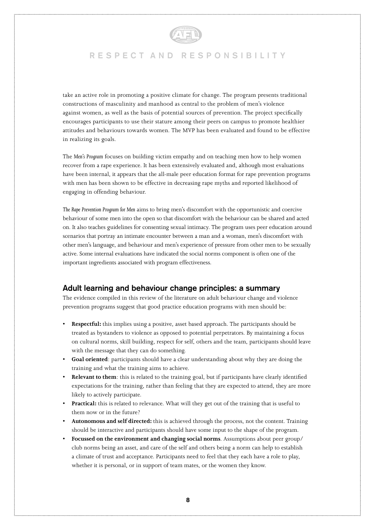

take an active role in promoting a positive climate for change. The program presents traditional constructions of masculinity and manhood as central to the problem of men's violence against women, as well as the basis of potential sources of prevention. The project specifically encourages participants to use their stature among their peers on campus to promote healthier attitudes and behaviours towards women. The MVP has been evaluated and found to be effective in realizing its goals.

The *Men's Program* focuses on building victim empathy and on teaching men how to help women recover from a rape experience. It has been extensively evaluated and, although most evaluations have been internal, it appears that the all-male peer education format for rape prevention programs with men has been shown to be effective in decreasing rape myths and reported likelihood of engaging in offending behaviour.

*The Rape Prevention Program for Men* aims to bring men's discomfort with the opportunistic and coercive behaviour of some men into the open so that discomfort with the behaviour can be shared and acted on. It also teaches guidelines for consenting sexual intimacy. The program uses peer education around scenarios that portray an intimate encounter between a man and a woman, men's discomfort with other men's language, and behaviour and men's experience of pressure from other men to be sexually active. Some internal evaluations have indicated the social norms component is often one of the important ingredients associated with program effectiveness.

### **Adult learning and behaviour change principles: a summary**

The evidence compiled in this review of the literature on adult behaviour change and violence prevention programs suggest that good practice education programs with men should be:

- **Respectful:** this implies using a positive, asset based approach. The participants should be treated as bystanders to violence as opposed to potential perpetrators. By maintaining a focus on cultural norms, skill building, respect for self, others and the team, participants should leave with the message that they can do something.
- **Goal oriented**: participants should have a clear understanding about why they are doing the training and what the training aims to achieve.
- **Relevant to them**: this is related to the training goal, but if participants have clearly identified expectations for the training, rather than feeling that they are expected to attend, they are more likely to actively participate.
- **Practical:** this is related to relevance. What will they get out of the training that is useful to them now or in the future?
- **Autonomous and self directed:** this is achieved through the process, not the content. Training should be interactive and participants should have some input to the shape of the program.
- **Focussed on the environment and changing social norms**. Assumptions about peer group/ club norms being an asset, and care of the self and others being a norm can help to establish a climate of trust and acceptance. Participants need to feel that they each have a role to play, whether it is personal, or in support of team mates, or the women they know.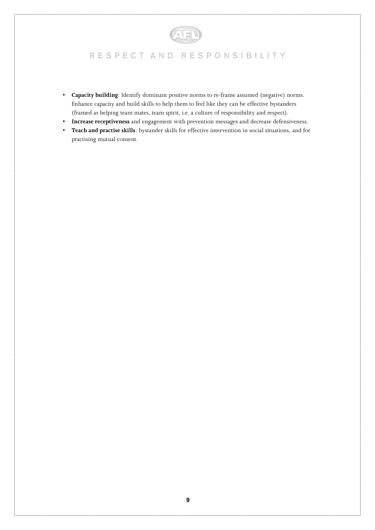# AFI

# **R E S P E C T A N D R E S P O N S I B I L I T Y**

- **Capacity building**: Identify dominant positive norms to re-frame assumed (negative) norms. Enhance capacity and build skills to help them to feel like they can be effective bystanders (framed as helping team mates, team spirit, i.e. a culture of responsibility and respect).
- **Increase receptiveness** and engagement with prevention messages and decrease defensiveness.
- **Teach and practise skills**: bystander skills for effective intervention in social situations, and for practising mutual consent.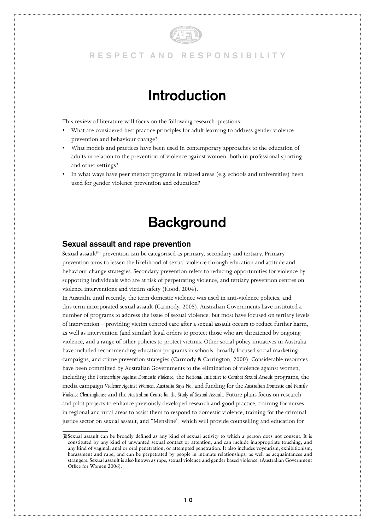

# **Introduction**

This review of literature will focus on the following research questions:

- What are considered best practice principles for adult learning to address gender violence prevention and behaviour change?
- What models and practices have been used in contemporary approaches to the education of adults in relation to the prevention of violence against women, both in professional sporting and other settings?
- In what ways have peer mentor programs in related areas (e.g. schools and universities) been used for gender violence prevention and education?

# **Background**

#### **Sexual assault and rape prevention**

Sexual assault<sup>(ii)</sup> prevention can be categorised as primary, secondary and tertiary. Primary prevention aims to lessen the likelihood of sexual violence through education and attitude and behaviour change strategies. Secondary prevention refers to reducing opportunities for violence by supporting individuals who are at risk of perpetrating violence, and tertiary prevention centres on violence interventions and victim safety (Flood, 2004).

In Australia until recently, the term domestic violence was used in anti-violence policies, and this term incorporated sexual assault (Carmody, 2005). Australian Governments have instituted a number of programs to address the issue of sexual violence, but most have focused on tertiary levels of intervention – providing victim centred care after a sexual assault occurs to reduce further harm, as well as intervention (and similar) legal orders to protect those who are threatened by ongoing violence, and a range of other policies to protect victims. Other social policy initiatives in Australia have included recommending education programs in schools, broadly focused social marketing campaigns, and crime prevention strategies (Carmody & Carrington, 2000). Considerable resources have been committed by Australian Governments to the elimination of violence against women, including the *Partnerships Against Domestic Violence*, the *National Initiative to Combat Sexual Assault* programs, the media campaign *Violence Against Women, Australia Says No*, and funding for the *Australian Domestic and Family Violence Clearinghouse* and the *Australian Centre for the Study of Sexual Assault*. Future plans focus on research and pilot projects to enhance previously developed research and good practice, training for nurses in regional and rural areas to assist them to respond to domestic violence, training for the criminal justice sector on sexual assault, and "Mensline", which will provide counselling and education for

<sup>(</sup>ii)Sexual assault can be broadly defined as any kind of sexual activity to which a person does not consent. It is constituted by any kind of unwanted sexual contact or attention, and can include inappropriate touching, and any kind of vaginal, anal or oral penetration, or attempted penetration. It also includes voyeurism, exhibitionism, harassment and rape, and can be perpetrated by people in intimate relationships, as well as acquaintances and strangers. Sexual assault is also known as rape, sexual violence and gender based violence. (Australian Government Office for Women 2006).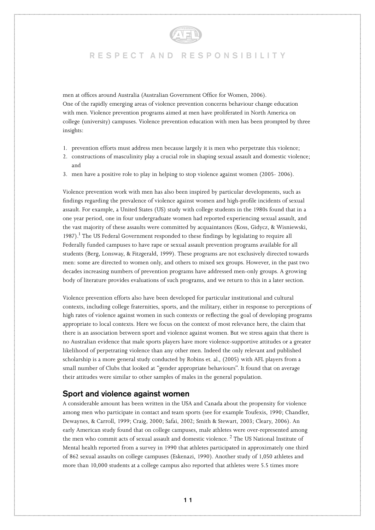

men at offices around Australia (Australian Government Office for Women, 2006). One of the rapidly emerging areas of violence prevention concerns behaviour change education with men. Violence prevention programs aimed at men have proliferated in North America on college (university) campuses. Violence prevention education with men has been prompted by three insights:

- 1. prevention efforts must address men because largely it is men who perpetrate this violence;
- 2. constructions of masculinity play a crucial role in shaping sexual assault and domestic violence; and
- 3. men have a positive role to play in helping to stop violence against women (2005- 2006).

Violence prevention work with men has also been inspired by particular developments, such as findings regarding the prevalence of violence against women and high-profile incidents of sexual assault. For example, a United States (US) study with college students in the 1980s found that in a one year period, one in four undergraduate women had reported experiencing sexual assault, and the vast majority of these assaults were committed by acquaintances (Koss, Gidycz, & Wisniewski, 1987).<sup>1</sup> The US Federal Government responded to these findings by legislating to require all Federally funded campuses to have rape or sexual assault prevention programs available for all students (Berg, Lonsway, & Fitzgerald, 1999). These programs are not exclusively directed towards men: some are directed to women only, and others to mixed sex groups. However, in the past two decades increasing numbers of prevention programs have addressed men-only groups. A growing body of literature provides evaluations of such programs, and we return to this in a later section.

Violence prevention efforts also have been developed for particular institutional and cultural contexts, including college fraternities, sports, and the military, either in response to perceptions of high rates of violence against women in such contexts or reflecting the goal of developing programs appropriate to local contexts. Here we focus on the context of most relevance here, the claim that there is an association between sport and violence against women. But we stress again that there is no Australian evidence that male sports players have more violence-supportive attitudes or a greater likelihood of perpetrating violence than any other men. Indeed the only relevant and published scholarship is a more general study conducted by Robins et. al., (2005) with AFL players from a small number of Clubs that looked at "gender appropriate behaviours". It found that on average their attitudes were similar to other samples of males in the general population.

#### **Sport and violence against women**

A considerable amount has been written in the USA and Canada about the propensity for violence among men who participate in contact and team sports (see for example Toufexis, 1990; Chandler, Dewaynes, & Carroll, 1999; Craig, 2000; Safai, 2002; Smith & Stewart, 2003; Cleary, 2006). An early American study found that on college campuses, male athletes were over-represented among the men who commit acts of sexual assault and domestic violence. <sup>2</sup> The US National Institute of Mental health reported from a survey in 1990 that athletes participated in approximately one third of 862 sexual assaults on college campuses (Eskenazi, 1990). Another study of 1,050 athletes and more than 10,000 students at a college campus also reported that athletes were 5.5 times more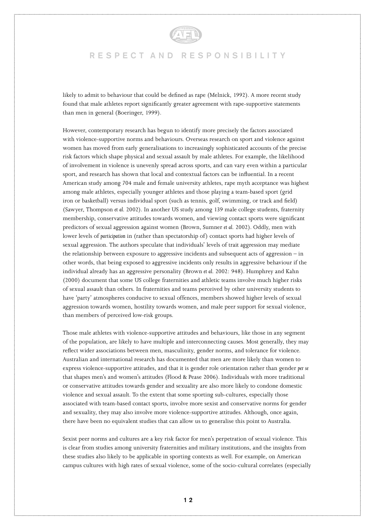

likely to admit to behaviour that could be defined as rape (Melnick, 1992). A more recent study found that male athletes report significantly greater agreement with rape-supportive statements than men in general (Boeringer, 1999).

However, contemporary research has begun to identify more precisely the factors associated with violence-supportive norms and behaviours. Overseas research on sport and violence against women has moved from early generalisations to increasingly sophisticated accounts of the precise risk factors which shape physical and sexual assault by male athletes. For example, the likelihood of involvement in violence is unevenly spread across sports, and can vary even within a particular sport, and research has shown that local and contextual factors can be influential. In a recent American study among 704 male and female university athletes, rape myth acceptance was highest among male athletes, especially younger athletes and those playing a team-based sport (grid iron or basketball) versus individual sport (such as tennis, golf, swimming, or track and field) (Sawyer, Thompson *et al.* 2002). In another US study among 139 male college students, fraternity membership, conservative attitudes towards women, and viewing contact sports were significant predictors of sexual aggression against women (Brown, Sumner *et al.* 2002). Oddly, men with lower levels of *participation* in (rather than spectatorship of) contact sports had higher levels of sexual aggression. The authors speculate that individuals' levels of trait aggression may mediate the relationship between exposure to aggressive incidents and subsequent acts of aggression – in other words, that being exposed to aggressive incidents only results in aggressive behaviour if the individual already has an aggressive personality (Brown *et al.* 2002: 948). Humphrey and Kahn (2000) document that some US college fraternities and athletic teams involve much higher risks of sexual assault than others. In fraternities and teams perceived by other university students to have 'party' atmospheres conducive to sexual offences, members showed higher levels of sexual aggression towards women, hostility towards women, and male peer support for sexual violence, than members of perceived low-risk groups.

Those male athletes with violence-supportive attitudes and behaviours, like those in any segment of the population, are likely to have multiple and interconnecting causes. Most generally, they may reflect wider associations between men, masculinity, gender norms, and tolerance for violence. Australian and international research has documented that men are more likely than women to express violence-supportive attitudes, and that it is gender role orientation rather than gender *per se* that shapes men's and women's attitudes (Flood & Pease 2006). Individuals with more traditional or conservative attitudes towards gender and sexuality are also more likely to condone domestic violence and sexual assault. To the extent that some sporting sub-cultures, especially those associated with team-based contact sports, involve more sexist and conservative norms for gender and sexuality, they may also involve more violence-supportive attitudes. Although, once again, there have been no equivalent studies that can allow us to generalise this point to Australia.

Sexist peer norms and cultures are a key risk factor for men's perpetration of sexual violence. This is clear from studies among university fraternities and military institutions, and the insights from these studies also likely to be applicable in sporting contexts as well. For example, on American campus cultures with high rates of sexual violence, some of the socio-cultural correlates (especially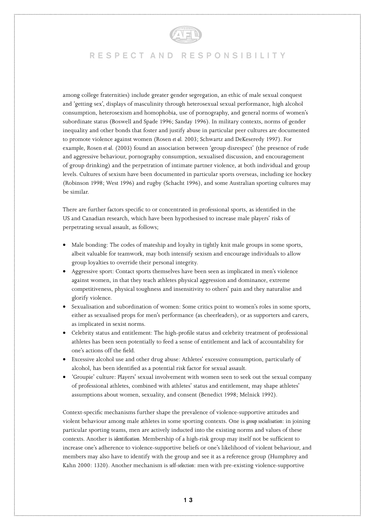

among college fraternities) include greater gender segregation, an ethic of male sexual conquest and 'getting sex', displays of masculinity through heterosexual sexual performance, high alcohol consumption, heterosexism and homophobia, use of pornography, and general norms of women's subordinate status (Boswell and Spade 1996; Sanday 1996). In military contexts, norms of gender inequality and other bonds that foster and justify abuse in particular peer cultures are documented to promote violence against women (Rosen *et al.* 2003; Schwartz and DeKeseredy 1997). For example, Rosen *et al.* (2003) found an association between 'group disrespect' (the presence of rude and aggressive behaviour, pornography consumption, sexualised discussion, and encouragement of group drinking) and the perpetration of intimate partner violence, at both individual and group levels. Cultures of sexism have been documented in particular sports overseas, including ice hockey (Robinson 1998; West 1996) and rugby (Schacht 1996), and some Australian sporting cultures may be similar.

There are further factors specific to or concentrated in professional sports, as identified in the US and Canadian research, which have been hypothesised to increase male players' risks of perpetrating sexual assault, as follows;

- Male bonding: The codes of mateship and loyalty in tightly knit male groups in some sports, albeit valuable for teamwork, may both intensify sexism and encourage individuals to allow group loyalties to override their personal integrity.
- Aggressive sport: Contact sports themselves have been seen as implicated in men's violence against women, in that they teach athletes physical aggression and dominance, extreme competitiveness, physical toughness and insensitivity to others' pain and they naturalise and glorify violence.
- Sexualisation and subordination of women: Some critics point to women's roles in some sports, either as sexualised props for men's performance (as cheerleaders), or as supporters and carers, as implicated in sexist norms.
- Celebrity status and entitlement: The high-profile status and celebrity treatment of professional athletes has been seen potentially to feed a sense of entitlement and lack of accountability for one's actions off the field.
- Excessive alcohol use and other drug abuse: Athletes' excessive consumption, particularly of alcohol, has been identified as a potential risk factor for sexual assault.
- 'Groupie' culture: Players' sexual involvement with women seen to seek out the sexual company of professional athletes, combined with athletes' status and entitlement, may shape athletes' assumptions about women, sexuality, and consent (Benedict 1998; Melnick 1992).

Context-specific mechanisms further shape the prevalence of violence-supportive attitudes and violent behaviour among male athletes in some sporting contexts. One is *group socialisation*: in joining particular sporting teams, men are actively inducted into the existing norms and values of these contexts. Another is *identification*. Membership of a high-risk group may itself not be sufficient to increase one's adherence to violence-supportive beliefs or one's likelihood of violent behaviour, and members may also have to identify with the group and see it as a reference group (Humphrey and Kahn 2000: 1320). Another mechanism is *self-selection*: men with pre-existing violence-supportive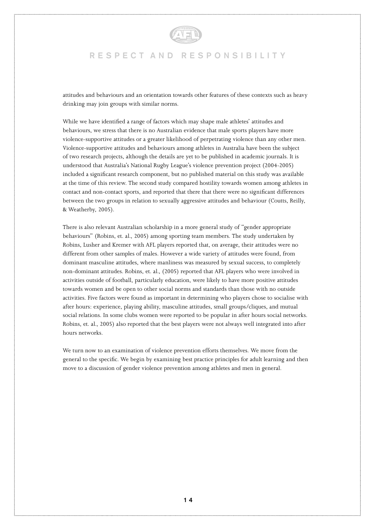

attitudes and behaviours and an orientation towards other features of these contexts such as heavy drinking may join groups with similar norms.

While we have identified a range of factors which may shape male athletes' attitudes and behaviours, we stress that there is no Australian evidence that male sports players have more violence-supportive attitudes or a greater likelihood of perpetrating violence than any other men. Violence-supportive attitudes and behaviours among athletes in Australia have been the subject of two research projects, although the details are yet to be published in academic journals. It is understood that Australia's National Rugby League's violence prevention project (2004-2005) included a significant research component, but no published material on this study was available at the time of this review. The second study compared hostility towards women among athletes in contact and non-contact sports, and reported that there that there were no significant differences between the two groups in relation to sexually aggressive attitudes and behaviour (Coutts, Reilly, & Weatherby, 2005).

There is also relevant Australian scholarship in a more general study of "gender appropriate behaviours" (Robins, et. al., 2005) among sporting team members. The study undertaken by Robins, Lusher and Kremer with AFL players reported that, on average, their attitudes were no different from other samples of males. However a wide variety of attitudes were found, from dominant masculine attitudes, where manliness was measured by sexual success, to completely non-dominant attitudes. Robins, et. al., (2005) reported that AFL players who were involved in activities outside of football, particularly education, were likely to have more positive attitudes towards women and be open to other social norms and standards than those with no outside activities. Five factors were found as important in determining who players chose to socialise with after hours: experience, playing ability, masculine attitudes, small groups/cliques, and mutual social relations. In some clubs women were reported to be popular in after hours social networks. Robins, et. al., 2005) also reported that the best players were not always well integrated into after hours networks.

We turn now to an examination of violence prevention efforts themselves. We move from the general to the specific. We begin by examining best practice principles for adult learning and then move to a discussion of gender violence prevention among athletes and men in general.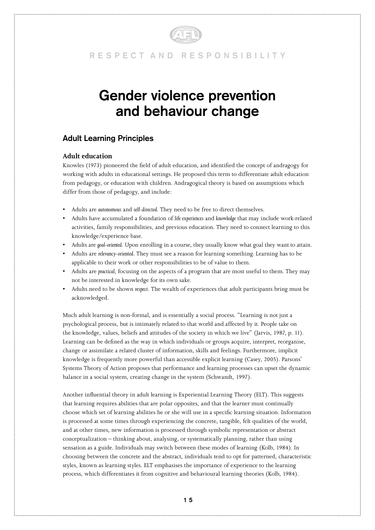

# **Gender violence prevention and behaviour change**

### **Adult Learning Principles**

#### **Adult education**

Knowles (1973) pioneered the field of adult education, and identified the concept of andragogy for working with adults in educational settings. He proposed this term to differentiate adult education from pedagogy, or education with children. Andragogical theory is based on assumptions which differ from those of pedagogy, and include:

- Adults are *autonomous* and *self-directed.* They need to be free to direct themselves.
- Adults have accumulated a foundation of *life experiences* and *knowledge* that may include work-related activities, family responsibilities, and previous education. They need to connect learning to this knowledge/experience base.
- Adults are *goal-oriented*. Upon enrolling in a course, they usually know what goal they want to attain.
- Adults are *relevancy-oriented*. They must see a reason for learning something. Learning has to be applicable to their work or other responsibilities to be of value to them.
- Adults are *practical*, focusing on the aspects of a program that are most useful to them. They may not be interested in knowledge for its own sake.
- Adults need to be shown *respect*. The wealth of experiences that adult participants bring must be acknowledged.

Much adult learning is non-formal, and is essentially a social process. "Learning is not just a psychological process, but is intimately related to that world and affected by it. People take on the knowledge, values, beliefs and attitudes of the society in which we live" (Jarvis, 1987, p. 11). Learning can be defined as the way in which individuals or groups acquire, interpret, reorganise, change or assimilate a related cluster of information, skills and feelings. Furthermore, implicit knowledge is frequently more powerful than accessible explicit learning (Casey, 2005). Parsons' Systems Theory of Action proposes that performance and learning processes can upset the dynamic balance in a social system, creating change in the system (Schwandt, 1997).

Another influential theory in adult learning is Experiential Learning Theory (ELT). This suggests that learning requires abilities that are polar opposites, and that the learner must continually choose which set of learning abilities he or she will use in a specific learning situation. Information is processed at some times through experiencing the concrete, tangible, felt qualities of the world, and at other times, new information is processed through symbolic representation or abstract conceptualization – thinking about, analysing, or systematically planning, rather than using sensation as a guide. Individuals may switch between these modes of learning (Kolb, 1984). In choosing between the concrete and the abstract, individuals tend to opt for patterned, characteristic styles, known as learning styles. ELT emphasises the importance of experience to the learning process, which differentiates it from cognitive and behavioural learning theories (Kolb, 1984).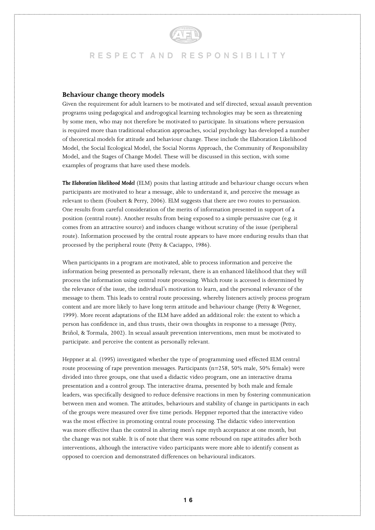#### **Behaviour change theory models**

Given the requirement for adult learners to be motivated and self directed, sexual assault prevention programs using pedagogical and androgogical learning technologies may be seen as threatening by some men, who may not therefore be motivated to participate. In situations where persuasion is required more than traditional education approaches, social psychology has developed a number of theoretical models for attitude and behaviour change. These include the Elaboration Likelihood Model, the Social Ecological Model, the Social Norms Approach, the Community of Responsibility Model, and the Stages of Change Model. These will be discussed in this section, with some examples of programs that have used these models.

*The Elaboration likelihood Model* (ELM) posits that lasting attitude and behaviour change occurs when participants are motivated to hear a message, able to understand it, and perceive the message as relevant to them (Foubert & Perry, 2006). ELM suggests that there are two routes to persuasion. One results from careful consideration of the merits of information presented in support of a position (central route). Another results from being exposed to a simple persuasive cue (e.g. it comes from an attractive source) and induces change without scrutiny of the issue (peripheral route). Information processed by the central route appears to have more enduring results than that processed by the peripheral route (Petty & Caciappo, 1986).

When participants in a program are motivated, able to process information and perceive the information being presented as personally relevant, there is an enhanced likelihood that they will process the information using central route processing. Which route is accessed is determined by the relevance of the issue, the individual's motivation to learn, and the personal relevance of the message to them. This leads to central route processing, whereby listeners actively process program content and are more likely to have long term attitude and behaviour change (Petty & Wegener, 1999). More recent adaptations of the ELM have added an additional role: the extent to which a person has confidence in, and thus trusts, their own thoughts in response to a message (Petty, Briñol, & Tormala, 2002). In sexual assault prevention interventions, men must be motivated to participate. and perceive the content as personally relevant.

Heppner at al. (1995) investigated whether the type of programming used effected ELM central route processing of rape prevention messages. Participants (n=258, 50% male, 50% female) were divided into three groups, one that used a didactic video program, one an interactive drama presentation and a control group. The interactive drama, presented by both male and female leaders, was specifically designed to reduce defensive reactions in men by fostering communication between men and women. The attitudes, behaviours and stability of change in participants in each of the groups were measured over five time periods. Heppner reported that the interactive video was the most effective in promoting central route processing. The didactic video intervention was more effective than the control in altering men's rape myth acceptance at one month, but the change was not stable. It is of note that there was some rebound on rape attitudes after both interventions, although the interactive video participants were more able to identify consent as opposed to coercion and demonstrated differences on behavioural indicators.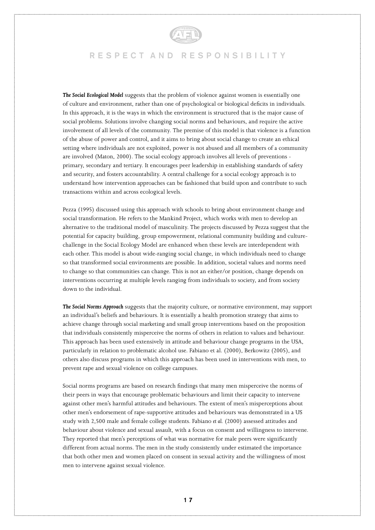

**The Social Ecological Model** suggests that the problem of violence against women is essentially one of culture and environment, rather than one of psychological or biological deficits in individuals. In this approach, it is the ways in which the environment is structured that is the major cause of social problems. Solutions involve changing social norms and behaviours, and require the active involvement of all levels of the community. The premise of this model is that violence is a function of the abuse of power and control, and it aims to bring about social change to create an ethical setting where individuals are not exploited, power is not abused and all members of a community are involved (Maton, 2000). The social ecology approach involves all levels of preventions primary, secondary and tertiary. It encourages peer leadership in establishing standards of safety and security, and fosters accountability. A central challenge for a social ecology approach is to understand how intervention approaches can be fashioned that build upon and contribute to such transactions within and across ecological levels.

Pezza (1995) discussed using this approach with schools to bring about environment change and social transformation. He refers to the Mankind Project, which works with men to develop an alternative to the traditional model of masculinity. The projects discussed by Pezza suggest that the potential for capacity building, group empowerment, relational community building and culturechallenge in the Social Ecology Model are enhanced when these levels are interdependent with each other. This model is about wide-ranging social change, in which individuals need to change so that transformed social environments are possible. In addition, societal values and norms need to change so that communities can change. This is not an either/or position, change depends on interventions occurring at multiple levels ranging from individuals to society, and from society down to the individual.

*The Social Norms Approach* suggests that the majority culture, or normative environment, may support an individual's beliefs and behaviours. It is essentially a health promotion strategy that aims to achieve change through social marketing and small group interventions based on the proposition that individuals consistently misperceive the norms of others in relation to values and behaviour. This approach has been used extensively in attitude and behaviour change programs in the USA, particularly in relation to problematic alcohol use. Fabiano et al. (2000), Berkowitz (2005), and others also discuss programs in which this approach has been used in interventions with men, to prevent rape and sexual violence on college campuses.

Social norms programs are based on research findings that many men misperceive the norms of their peers in ways that encourage problematic behaviours and limit their capacity to intervene against other men's harmful attitudes and behaviours. The extent of men's misperceptions about other men's endorsement of rape-supportive attitudes and behaviours was demonstrated in a US study with 2,500 male and female college students. Fabiano *et al.* (2000) assessed attitudes and behaviour about violence and sexual assault, with a focus on consent and willingness to intervene. They reported that men's perceptions of what was normative for male peers were significantly different from actual norms. The men in the study consistently under estimated the importance that both other men and women placed on consent in sexual activity and the willingness of most men to intervene against sexual violence.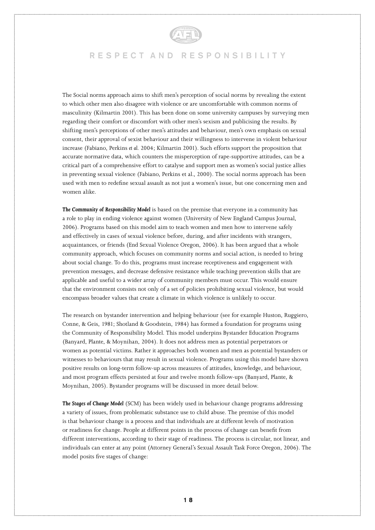

The Social norms approach aims to shift men's perception of social norms by revealing the extent to which other men also disagree with violence or are uncomfortable with common norms of masculinity (Kilmartin 2001). This has been done on some university campuses by surveying men regarding their comfort or discomfort with other men's sexism and publicising the results. By shifting men's perceptions of other men's attitudes and behaviour, men's own emphasis on sexual consent, their approval of sexist behaviour and their willingness to intervene in violent behaviour increase (Fabiano, Perkins *et al.* 2004; Kilmartin 2001). Such efforts support the proposition that accurate normative data, which counters the misperception of rape-supportive attitudes, can be a critical part of a comprehensive effort to catalyse and support men as women's social justice allies in preventing sexual violence (Fabiano, Perkins et al., 2000). The social norms approach has been used with men to redefine sexual assault as not just a women's issue, but one concerning men and women alike.

*The Community of Responsibility Model* is based on the premise that everyone in a community has a role to play in ending violence against women (University of New England Campus Journal, 2006). Programs based on this model aim to teach women and men how to intervene safely and effectively in cases of sexual violence before, during, and after incidents with strangers, acquaintances, or friends (End Sexual Violence Oregon, 2006). It has been argued that a whole community approach, which focuses on community norms and social action, is needed to bring about social change. To do this, programs must increase receptiveness and engagement with prevention messages, and decrease defensive resistance while teaching prevention skills that are applicable and useful to a wider array of community members must occur. This would ensure that the environment consists not only of a set of policies prohibiting sexual violence, but would encompass broader values that create a climate in which violence is unlikely to occur.

The research on bystander intervention and helping behaviour (see for example Huston, Ruggiero, Conne, & Geis, 1981; Shotland & Goodstein, 1984) has formed a foundation for programs using the Community of Responsibility Model. This model underpins Bystander Education Programs (Banyard, Plante, & Moynihan, 2004). It does not address men as potential perpetrators or women as potential victims. Rather it approaches both women and men as potential bystanders or witnesses to behaviours that may result in sexual violence. Programs using this model have shown positive results on long-term follow-up across measures of attitudes, knowledge, and behaviour, and most program effects persisted at four and twelve month follow-ups (Banyard, Plante, & Moynihan, 2005). Bystander programs will be discussed in more detail below.

*The Stages of Change Model* (SCM) has been widely used in behaviour change programs addressing a variety of issues, from problematic substance use to child abuse. The premise of this model is that behaviour change is a process and that individuals are at different levels of motivation or readiness for change. People at different points in the process of change can benefit from different interventions, according to their stage of readiness. The process is circular, not linear, and individuals can enter at any point (Attorney General's Sexual Assault Task Force Oregon, 2006). The model posits five stages of change: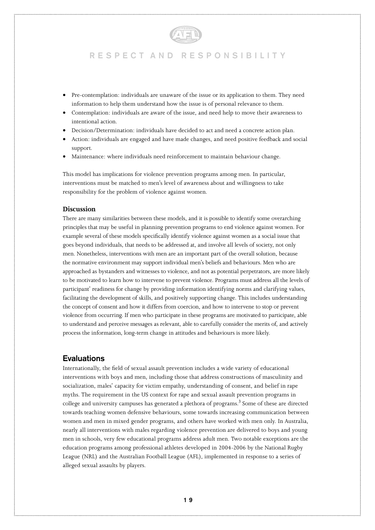

- Pre-contemplation: individuals are unaware of the issue or its application to them. They need information to help them understand how the issue is of personal relevance to them.
- Contemplation: individuals are aware of the issue, and need help to move their awareness to intentional action.
- Decision/Determination: individuals have decided to act and need a concrete action plan.
- Action: individuals are engaged and have made changes, and need positive feedback and social support.
- Maintenance: where individuals need reinforcement to maintain behaviour change.

This model has implications for violence prevention programs among men. In particular, interventions must be matched to men's level of awareness about and willingness to take responsibility for the problem of violence against women.

#### **Discussion**

There are many similarities between these models, and it is possible to identify some overarching principles that may be useful in planning prevention programs to end violence against women. For example several of these models specifically identify violence against women as a social issue that goes beyond individuals, that needs to be addressed at, and involve all levels of society, not only men. Nonetheless, interventions with men are an important part of the overall solution, because the normative environment may support individual men's beliefs and behaviours. Men who are approached as bystanders and witnesses to violence, and not as potential perpetrators, are more likely to be motivated to learn how to intervene to prevent violence. Programs must address all the levels of participant' readiness for change by providing information identifying norms and clarifying values, facilitating the development of skills, and positively supporting change. This includes understanding the concept of consent and how it differs from coercion, and how to intervene to stop or prevent violence from occurring. If men who participate in these programs are motivated to participate, able to understand and perceive messages as relevant, able to carefully consider the merits of, and actively process the information, long-term change in attitudes and behaviours is more likely.

#### **Evaluations**

Internationally, the field of sexual assault prevention includes a wide variety of educational interventions with boys and men, including those that address constructions of masculinity and socialization, males' capacity for victim empathy, understanding of consent, and belief in rape myths. The requirement in the US context for rape and sexual assault prevention programs in college and university campuses has generated a plethora of programs.<sup>3</sup> Some of these are directed towards teaching women defensive behaviours, some towards increasing communication between women and men in mixed gender programs, and others have worked with men only. In Australia, nearly all interventions with males regarding violence prevention are delivered to boys and young men in schools, very few educational programs address adult men. Two notable exceptions are the education programs among professional athletes developed in 2004-2006 by the National Rugby League (NRL) and the Australian Football League (AFL), implemented in response to a series of alleged sexual assaults by players.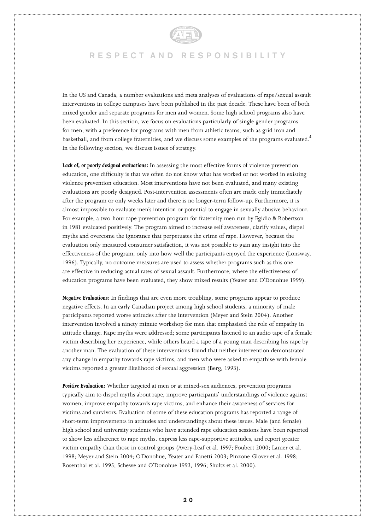

In the US and Canada, a number evaluations and meta analyses of evaluations of rape/sexual assault interventions in college campuses have been published in the past decade. These have been of both mixed gender and separate programs for men and women. Some high school programs also have been evaluated. In this section, we focus on evaluations particularly of single gender programs for men, with a preference for programs with men from athletic teams, such as grid iron and basketball, and from college fraternities, and we discuss some examples of the programs evaluated.<sup>4</sup> In the following section, we discuss issues of strategy.

*Lack of, or poorly designed evaluations:* In assessing the most effective forms of violence prevention education, one difficulty is that we often do not know what has worked or not worked in existing violence prevention education. Most interventions have not been evaluated, and many existing evaluations are poorly designed. Post-intervention assessments often are made only immediately after the program or only weeks later and there is no longer-term follow-up. Furthermore, it is almost impossible to evaluate men's intention or potential to engage in sexually abusive behaviour. For example, a two-hour rape prevention program for fraternity men run by Egidio & Robertson in 1981 evaluated positively. The program aimed to increase self awareness, clarify values, dispel myths and overcome the ignorance that perpetuates the crime of rape. However, because the evaluation only measured consumer satisfaction, it was not possible to gain any insight into the effectiveness of the program, only into how well the participants enjoyed the experience (Lonsway, 1996). Typically, no outcome measures are used to assess whether programs such as this one are effective in reducing actual rates of sexual assault. Furthermore, where the effectiveness of education programs have been evaluated, they show mixed results (Yeater and O'Donohue 1999).

*Negative Evaluations:* In findings that are even more troubling, some programs appear to produce negative effects. In an early Canadian project among high school students, a minority of male participants reported worse attitudes after the intervention (Meyer and Stein 2004). Another intervention involved a ninety minute workshop for men that emphasised the role of empathy in attitude change. Rape myths were addressed; some participants listened to an audio tape of a female victim describing her experience, while others heard a tape of a young man describing his rape by another man. The evaluation of these interventions found that neither intervention demonstrated any change in empathy towards rape victims, and men who were asked to empathise with female victims reported a greater likelihood of sexual aggression (Berg, 1993).

*Positive Evaluation:* Whether targeted at men or at mixed-sex audiences, prevention programs typically aim to dispel myths about rape, improve participants' understandings of violence against women, improve empathy towards rape victims, and enhance their awareness of services for victims and survivors. Evaluation of some of these education programs has reported a range of short-term improvements in attitudes and understandings about these issues. Male (and female) high school and university students who have attended rape education sessions have been reported to show less adherence to rape myths, express less rape-supportive attitudes, and report greater victim empathy than those in control groups (Avery-Leaf et al. 1997; Foubert 2000; Lanier et al. 1998; Meyer and Stein 2004; O'Donohue, Yeater and Fanetti 2003; Pinzone-Glover et al. 1998; Rosenthal et al. 1995; Schewe and O'Donohue 1993, 1996; Shultz et al. 2000).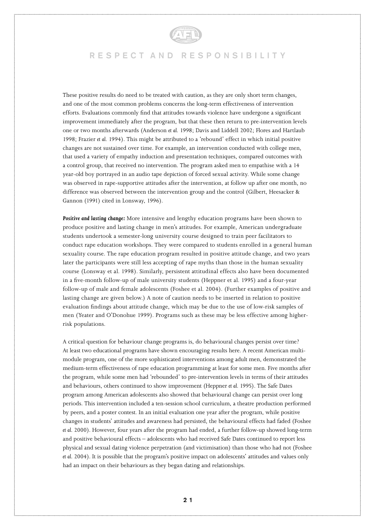

These positive results do need to be treated with caution, as they are only short term changes, and one of the most common problems concerns the long-term effectiveness of intervention efforts. Evaluations commonly find that attitudes towards violence have undergone a significant improvement immediately after the program, but that these then return to pre-intervention levels one or two months afterwards (Anderson *et al.* 1998; Davis and Liddell 2002; Flores and Hartlaub 1998; Frazier *et al.* 1994). This might be attributed to a 'rebound' effect in which initial positive changes are not sustained over time. For example, an intervention conducted with college men, that used a variety of empathy induction and presentation techniques, compared outcomes with a control group, that received no intervention. The program asked men to empathise with a 14 year-old boy portrayed in an audio tape depiction of forced sexual activity. While some change was observed in rape-supportive attitudes after the intervention, at follow up after one month, no difference was observed between the intervention group and the control (Gilbert, Heesacker & Gannon (1991) cited in Lonsway, 1996).

*Positive and lasting change:* More intensive and lengthy education programs have been shown to produce positive and lasting change in men's attitudes. For example, American undergraduate students undertook a semester-long university course designed to train peer facilitators to conduct rape education workshops. They were compared to students enrolled in a general human sexuality course. The rape education program resulted in positive attitude change, and two years later the participants were still less accepting of rape myths than those in the human sexuality course (Lonsway et al. 1998). Similarly, persistent attitudinal effects also have been documented in a five-month follow-up of male university students (Heppner et al. 1995) and a four-year follow-up of male and female adolescents (Foshee et al. 2004). (Further examples of positive and lasting change are given below.) A note of caution needs to be inserted in relation to positive evaluation findings about attitude change, which may be due to the use of low-risk samples of men (Yeater and O'Donohue 1999). Programs such as these may be less effective among higherrisk populations.

A critical question for behaviour change programs is, do behavioural changes persist over time? At least two educational programs have shown encouraging results here. A recent American multimodule program, one of the more sophisticated interventions among adult men, demonstrated the medium-term effectiveness of rape education programming at least for some men. Five months after the program, while some men had 'rebounded' to pre-intervention levels in terms of their attitudes and behaviours, others continued to show improvement (Heppner *et al.* 1995). The Safe Dates program among American adolescents also showed that behavioural change can persist over long periods. This intervention included a ten-session school curriculum, a theatre production performed by peers, and a poster contest. In an initial evaluation one year after the program, while positive changes in students' attitudes and awareness had persisted, the behavioural effects had faded (Foshee *et al.* 2000). However, four years after the program had ended, a further follow-up showed long-term and positive behavioural effects – adolescents who had received Safe Dates continued to report less physical and sexual dating violence perpetration (and victimisation) than those who had not (Foshee *et al.* 2004). It is possible that the program's positive impact on adolescents' attitudes and values only had an impact on their behaviours as they began dating and relationships.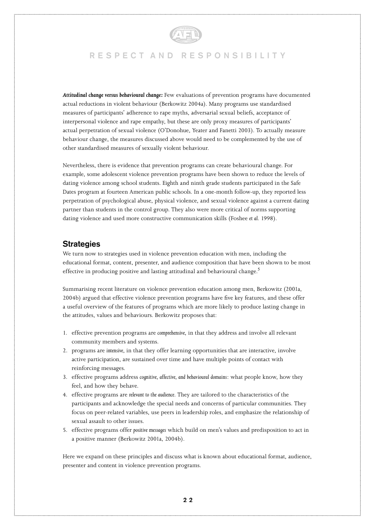

*Attitudinal change versus behavioural change:* Few evaluations of prevention programs have documented actual reductions in violent behaviour (Berkowitz 2004a). Many programs use standardised measures of participants' adherence to rape myths, adversarial sexual beliefs, acceptance of interpersonal violence and rape empathy, but these are only proxy measures of participants' actual perpetration of sexual violence (O'Donohue, Yeater and Fanetti 2003). To actually measure behaviour change, the measures discussed above would need to be complemented by the use of other standardised measures of sexually violent behaviour.

Nevertheless, there is evidence that prevention programs can create behavioural change. For example, some adolescent violence prevention programs have been shown to reduce the levels of dating violence among school students. Eighth and ninth grade students participated in the Safe Dates program at fourteen American public schools. In a one-month follow-up, they reported less perpetration of psychological abuse, physical violence, and sexual violence against a current dating partner than students in the control group. They also were more critical of norms supporting dating violence and used more constructive communication skills (Foshee *et al.* 1998).

#### **Strategies**

We turn now to strategies used in violence prevention education with men, including the educational format, content, presenter, and audience composition that have been shown to be most effective in producing positive and lasting attitudinal and behavioural change.<sup>5</sup>

Summarising recent literature on violence prevention education among men, Berkowitz (2001a, 2004b) argued that effective violence prevention programs have five key features, and these offer a useful overview of the features of programs which are more likely to produce lasting change in the attitudes, values and behaviours. Berkowitz proposes that:

- 1. effective prevention programs are *comprehensive*, in that they address and involve all relevant community members and systems.
- 2. programs are *intensive*, in that they offer learning opportunities that are interactive, involve active participation, are sustained over time and have multiple points of contact with reinforcing messages.
- 3. effective programs address *cognitive, affective, and behavioural domains*: what people know, how they feel, and how they behave.
- 4. effective programs are *relevant to the audience*. They are tailored to the characteristics of the participants and acknowledge the special needs and concerns of particular communities. They focus on peer-related variables, use peers in leadership roles, and emphasize the relationship of sexual assault to other issues.
- 5. effective programs offer *positive messages* which build on men's values and predisposition to act in a positive manner (Berkowitz 2001a, 2004b).

Here we expand on these principles and discuss what is known about educational format, audience, presenter and content in violence prevention programs.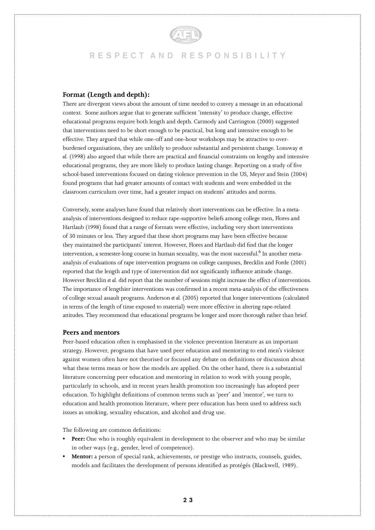#### **Format (Length and depth):**

There are divergent views about the amount of time needed to convey a message in an educational context. Some authors argue that to generate sufficient 'intensity' to produce change, effective educational programs require both length and depth. Carmody and Carrington (2000) suggested that interventions need to be short enough to be practical, but long and intensive enough to be effective. They argued that while one-off and one-hour workshops may be attractive to overburdened organisations, they are unlikely to produce substantial and persistent change. Lonsway *et al.* (1998) also argued that while there are practical and financial constraints on lengthy and intensive educational programs, they are more likely to produce lasting change. Reporting on a study of five school-based interventions focused on dating violence prevention in the US, Meyer and Stein (2004) found programs that had greater amounts of contact with students and were embedded in the classroom curriculum over time, had a greater impact on students' attitudes and norms.

Conversely, some analyses have found that relatively short interventions can be effective. In a metaanalysis of interventions designed to reduce rape-supportive beliefs among college men, Flores and Hartlaub (1998) found that a range of formats were effective, including very short interventions of 30 minutes or less. They argued that these short programs may have been effective because they maintained the participants' interest. However, Flores and Hartlaub did find that the longer intervention, a semester-long course in human sexuality, was the most successful. $^6$  In another metaanalysis of evaluations of rape intervention programs on college campuses, Brecklin and Forde (2001) reported that the length and type of intervention did not significantly influence attitude change. However Brecklin *et al.* did report that the number of sessions might increase the effect of interventions. The importance of lengthier interventions was confirmed in a recent meta-analysis of the effectiveness of college sexual assault programs. Anderson *et al.* (2005) reported that longer interventions (calculated in terms of the length of time exposed to material) were more effective in altering rape-related attitudes. They recommend that educational programs be longer and more thorough rather than brief.

#### **Peers and mentors**

Peer-based education often is emphasised in the violence prevention literature as an important strategy. However, programs that have used peer education and mentoring to end men's violence against women often have not theorised or focused any debate on definitions or discussion about what these terms mean or how the models are applied. On the other hand, there is a substantial literature concerning peer education and mentoring in relation to work with young people, particularly in schools, and in recent years health promotion too increasingly has adopted peer education. To highlight definitions of common terms such as 'peer' and 'mentor', we turn to education and health promotion literature, where peer education has been used to address such issues as smoking, sexuality education, and alcohol and drug use.

The following are common definitions:

- **• Peer:** One who is roughly equivalent in development to the observer and who may be similar in other ways (e.g., gender, level of competence).
- **• Mentor:** a person of special rank, achievements, or prestige who instructs, counsels, guides, models and facilitates the development of persons identified as protégés (Blackwell, 1989).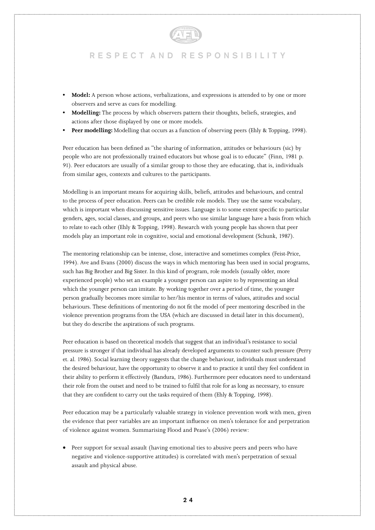- **Model:** A person whose actions, verbalizations, and expressions is attended to by one or more observers and serve as cues for modelling.
- **• Modelling:** The process by which observers pattern their thoughts, beliefs, strategies, and actions after those displayed by one or more models.
- **Peer modelling:** Modelling that occurs as a function of observing peers (Ehly & Topping, 1998).

Peer education has been defined as "the sharing of information, attitudes or behaviours (sic) by people who are not professionally trained educators but whose goal is to educate" (Finn, 1981 p. 91). Peer educators are usually of a similar group to those they are educating, that is, individuals from similar ages, contexts and cultures to the participants.

Modelling is an important means for acquiring skills, beliefs, attitudes and behaviours, and central to the process of peer education. Peers can be credible role models. They use the same vocabulary, which is important when discussing sensitive issues. Language is to some extent specific to particular genders, ages, social classes, and groups, and peers who use similar language have a basis from which to relate to each other (Ehly & Topping, 1998). Research with young people has shown that peer models play an important role in cognitive, social and emotional development (Schunk, 1987).

The mentoring relationship can be intense, close, interactive and sometimes complex (Feist-Price, 1994). Ave and Evans (2000) discuss the ways in which mentoring has been used in social programs, such has Big Brother and Big Sister. In this kind of program, role models (usually older, more experienced people) who set an example a younger person can aspire to by representing an ideal which the younger person can imitate. By working together over a period of time, the younger person gradually becomes more similar to her/his mentor in terms of values, attitudes and social behaviours. These definitions of mentoring do not fit the model of peer mentoring described in the violence prevention programs from the USA (which are discussed in detail later in this document), but they do describe the aspirations of such programs.

Peer education is based on theoretical models that suggest that an individual's resistance to social pressure is stronger if that individual has already developed arguments to counter such pressure (Perry et. al. 1986). Social learning theory suggests that the change behaviour, individuals must understand the desired behaviour, have the opportunity to observe it and to practice it until they feel confident in their ability to perform it effectively (Bandura, 1986). Furthermore peer educators need to understand their role from the outset and need to be trained to fulfil that role for as long as necessary, to ensure that they are confident to carry out the tasks required of them (Ehly & Topping, 1998).

Peer education may be a particularly valuable strategy in violence prevention work with men, given the evidence that peer variables are an important influence on men's tolerance for and perpetration of violence against women. Summarising Flood and Pease's (2006) review:

• Peer support for sexual assault (having emotional ties to abusive peers and peers who have negative and violence-supportive attitudes) is correlated with men's perpetration of sexual assault and physical abuse.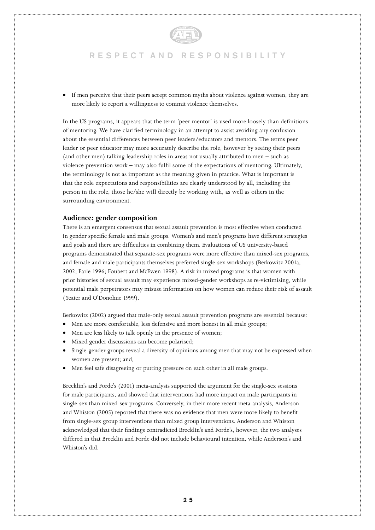

• If men perceive that their peers accept common myths about violence against women, they are more likely to report a willingness to commit violence themselves.

In the US programs, it appears that the term 'peer mentor' is used more loosely than definitions of mentoring. We have clarified terminology in an attempt to assist avoiding any confusion about the essential differences between peer leaders/educators and mentors. The terms peer leader or peer educator may more accurately describe the role, however by seeing their peers (and other men) talking leadership roles in areas not usually attributed to men – such as violence prevention work – may also fulfil some of the expectations of mentoring. Ultimately, the terminology is not as important as the meaning given in practice. What is important is that the role expectations and responsibilities are clearly understood by all, including the person in the role, those he/she will directly be working with, as well as others in the surrounding environment.

#### **Audience: gender composition**

There is an emergent consensus that sexual assault prevention is most effective when conducted in gender specific female and male groups. Women's and men's programs have different strategies and goals and there are difficulties in combining them. Evaluations of US university-based programs demonstrated that separate-sex programs were more effective than mixed-sex programs, and female and male participants themselves preferred single-sex workshops (Berkowitz 2001a, 2002; Earle 1996; Foubert and McEwen 1998). A risk in mixed programs is that women with prior histories of sexual assault may experience mixed-gender workshops as re-victimising, while potential male perpetrators may misuse information on how women can reduce their risk of assault (Yeater and O'Donohue 1999).

Berkowitz (2002) argued that male-only sexual assault prevention programs are essential because:

- Men are more comfortable, less defensive and more honest in all male groups;
- Men are less likely to talk openly in the presence of women;
- Mixed gender discussions can become polarised;
- Single-gender groups reveal a diversity of opinions among men that may not be expressed when women are present; and,
- Men feel safe disagreeing or putting pressure on each other in all male groups.

Brecklin's and Forde's (2001) meta-analysis supported the argument for the single-sex sessions for male participants, and showed that interventions had more impact on male participants in single-sex than mixed-sex programs. Conversely, in their more recent meta-analysis, Anderson and Whiston (2005) reported that there was no evidence that men were more likely to benefit from single-sex group interventions than mixed group interventions. Anderson and Whiston acknowledged that their findings contradicted Brecklin's and Forde's, however, the two analyses differed in that Brecklin and Forde did not include behavioural intention, while Anderson's and Whiston's did.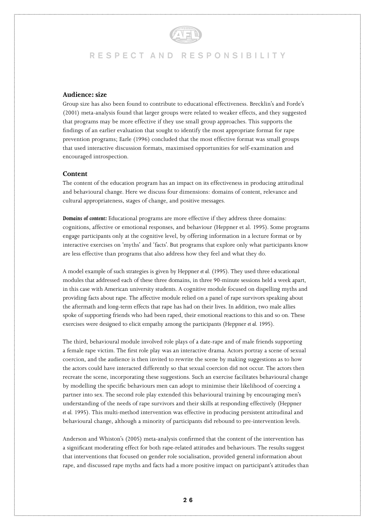#### **Audience: size**

Group size has also been found to contribute to educational effectiveness. Brecklin's and Forde's (2001) meta-analysis found that larger groups were related to weaker effects, and they suggested that programs may be more effective if they use small group approaches. This supports the findings of an earlier evaluation that sought to identify the most appropriate format for rape prevention programs; Earle (1996) concluded that the most effective format was small groups that used interactive discussion formats, maximised opportunities for self-examination and encouraged introspection.

#### **Content**

The content of the education program has an impact on its effectiveness in producing attitudinal and behavioural change. Here we discuss four dimensions: domains of content, relevance and cultural appropriateness, stages of change, and positive messages.

*Domains of content:* Educational programs are more effective if they address three domains: cognitions, affective or emotional responses, and behaviour (Heppner et al. 1995). Some programs engage participants only at the cognitive level, by offering information in a lecture format or by interactive exercises on 'myths' and 'facts'. But programs that explore only what participants know are less effective than programs that also address how they feel and what they do.

A model example of such strategies is given by Heppner *et al.* (1995). They used three educational modules that addressed each of these three domains, in three 90-minute sessions held a week apart, in this case with American university students. A cognitive module focused on dispelling myths and providing facts about rape. The affective module relied on a panel of rape survivors speaking about the aftermath and long-term effects that rape has had on their lives. In addition, two male allies spoke of supporting friends who had been raped, their emotional reactions to this and so on. These exercises were designed to elicit empathy among the participants (Heppner *et al.* 1995).

The third, behavioural module involved role plays of a date-rape and of male friends supporting a female rape victim. The first role play was an interactive drama. Actors portray a scene of sexual coercion, and the audience is then invited to rewrite the scene by making suggestions as to how the actors could have interacted differently so that sexual coercion did not occur. The actors then recreate the scene, incorporating these suggestions. Such an exercise facilitates behavioural change by modelling the specific behaviours men can adopt to minimise their likelihood of coercing a partner into sex. The second role play extended this behavioural training by encouraging men's understanding of the needs of rape survivors and their skills at responding effectively (Heppner *et al.* 1995). This multi-method intervention was effective in producing persistent attitudinal and behavioural change, although a minority of participants did rebound to pre-intervention levels.

Anderson and Whiston's (2005) meta-analysis confirmed that the content of the intervention has a significant moderating effect for both rape-related attitudes and behaviours. The results suggest that interventions that focused on gender role socialisation, provided general information about rape, and discussed rape myths and facts had a more positive impact on participant's attitudes than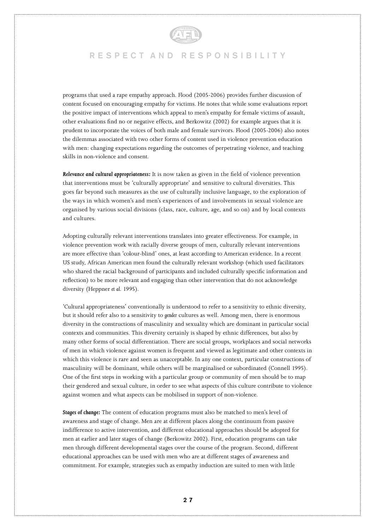

programs that used a rape empathy approach. Flood (2005-2006) provides further discussion of content focused on encouraging empathy for victims. He notes that while some evaluations report the positive impact of interventions which appeal to men's empathy for female victims of assault, other evaluations find no or negative effects, and Berkowitz (2002) for example argues that it is prudent to incorporate the voices of both male and female survivors. Flood (2005-2006) also notes the dilemmas associated with two other forms of content used in violence prevention education with men: changing expectations regarding the outcomes of perpetrating violence, and teaching skills in non-violence and consent.

*Relevance and cultural appropriateness:* It is now taken as given in the field of violence prevention that interventions must be 'culturally appropriate' and sensitive to cultural diversities. This goes far beyond such measures as the use of culturally inclusive language, to the exploration of the ways in which women's and men's experiences of and involvements in sexual violence are organised by various social divisions (class, race, culture, age, and so on) and by local contexts and cultures.

Adopting culturally relevant interventions translates into greater effectiveness. For example, in violence prevention work with racially diverse groups of men, culturally relevant interventions are more effective than 'colour-blind' ones, at least according to American evidence. In a recent US study, African American men found the culturally relevant workshop (which used facilitators who shared the racial background of participants and included culturally specific information and reflection) to be more relevant and engaging than other intervention that do not acknowledge diversity (Heppner *et al.* 1995).

'Cultural appropriateness' conventionally is understood to refer to a sensitivity to ethnic diversity, but it should refer also to a sensitivity to *gender* cultures as well. Among men, there is enormous diversity in the constructions of masculinity and sexuality which are dominant in particular social contexts and communities. This diversity certainly is shaped by ethnic differences, but also by many other forms of social differentiation. There are social groups, workplaces and social networks of men in which violence against women is frequent and viewed as legitimate and other contexts in which this violence is rare and seen as unacceptable. In any one context, particular constructions of masculinity will be dominant, while others will be marginalised or subordinated (Connell 1995). One of the first steps in working with a particular group or community of men should be to map their gendered and sexual culture, in order to see what aspects of this culture contribute to violence against women and what aspects can be mobilised in support of non-violence.

*Stages of change:* The content of education programs must also be matched to men's level of awareness and stage of change. Men are at different places along the continuum from passive indifference to active intervention, and different educational approaches should be adopted for men at earlier and later stages of change (Berkowitz 2002). First, education programs can take men through different developmental stages over the course of the program. Second, different educational approaches can be used with men who are at different stages of awareness and commitment. For example, strategies such as empathy induction are suited to men with little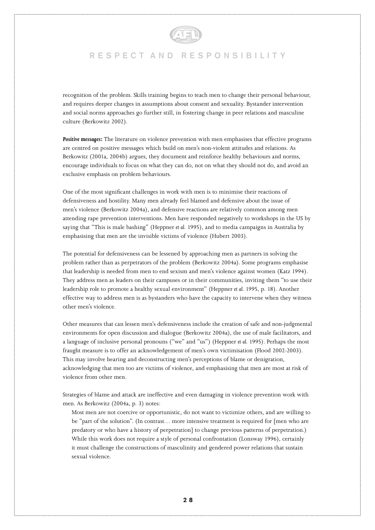

recognition of the problem. Skills training begins to teach men to change their personal behaviour, and requires deeper changes in assumptions about consent and sexuality. Bystander intervention and social norms approaches go further still, in fostering change in peer relations and masculine culture (Berkowitz 2002).

*Positive messages:* The literature on violence prevention with men emphasises that effective programs are centred on positive messages which build on men's non-violent attitudes and relations. As Berkowitz (2001a, 2004b) argues, they document and reinforce healthy behaviours and norms, encourage individuals to focus on what they can do, not on what they should not do, and avoid an exclusive emphasis on problem behaviours.

One of the most significant challenges in work with men is to minimise their reactions of defensiveness and hostility. Many men already feel blamed and defensive about the issue of men's violence (Berkowitz 2004a), and defensive reactions are relatively common among men attending rape prevention interventions. Men have responded negatively to workshops in the US by saying that "This is male bashing" (Heppner *et al.* 1995), and to media campaigns in Australia by emphasising that men are the invisible victims of violence (Hubert 2003).

The potential for defensiveness can be lessened by approaching men as partners in solving the problem rather than as perpetrators of the problem (Berkowitz 2004a). Some programs emphasise that leadership is needed from men to end sexism and men's violence against women (Katz 1994). They address men as leaders on their campuses or in their communities, inviting them "to use their leadership role to promote a healthy sexual environment" (Heppner *et al.* 1995, p. 18). Another effective way to address men is as bystanders who have the capacity to intervene when they witness other men's violence.

Other measures that can lessen men's defensiveness include the creation of safe and non-judgmental environments for open discussion and dialogue (Berkowitz 2004a), the use of male facilitators, and a language of inclusive personal pronouns ("we" and "us") (Heppner *et al.* 1995). Perhaps the most fraught measure is to offer an acknowledgement of men's own victimisation (Flood 2002-2003). This may involve hearing and deconstructing men's perceptions of blame or denigration, acknowledging that men too are victims of violence, and emphasising that men are most at risk of violence from other men.

Strategies of blame and attack are ineffective and even damaging in violence prevention work with men. As Berkowitz (2004a, p. 3) notes:

Most men are not coercive or opportunistic, do not want to victimize others, and are willing to be "part of the solution". (In contrast… more intensive treatment is required for [men who are predatory or who have a history of perpetration] to change previous patterns of perpetration.) While this work does not require a style of personal confrontation (Lonsway 1996), certainly it must challenge the constructions of masculinity and gendered power relations that sustain sexual violence.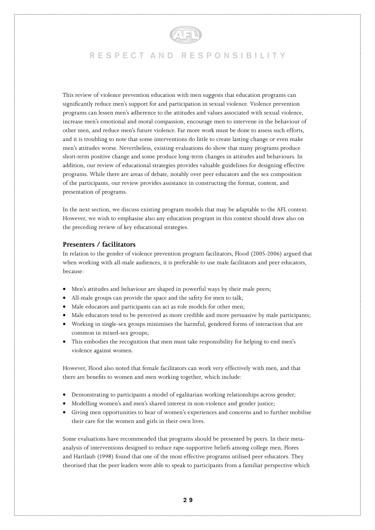

This review of violence prevention education with men suggests that education programs can significantly reduce men's support for and participation in sexual violence. Violence prevention programs can lessen men's adherence to the attitudes and values associated with sexual violence, increase men's emotional and moral compassion, encourage men to intervene in the behaviour of other men, and reduce men's future violence. Far more work must be done to assess such efforts, and it is troubling to note that some interventions do little to create lasting change or even make men's attitudes worse. Nevertheless, existing evaluations do show that many programs produce short-term positive change and some produce long-term changes in attitudes and behaviours. In addition, our review of educational strategies provides valuable guidelines for designing effective programs. While there are areas of debate, notably over peer educators and the sex composition of the participants, our review provides assistance in constructing the format, content, and presentation of programs.

In the next section, we discuss existing program models that may be adaptable to the AFL context. However, we wish to emphasise also any education program in this context should draw also on the preceding review of key educational strategies.

### **Presenters / facilitators**

In relation to the gender of violence prevention program facilitators, Flood (2005-2006) argued that when working with all-male audiences, it is preferable to use male facilitators and peer educators, because:

- Men's attitudes and behaviour are shaped in powerful ways by their male peers;
- All-male groups can provide the space and the safety for men to talk;
- Male educators and participants can act as role models for other men;
- Male educators tend to be perceived as more credible and more persuasive by male participants;
- Working in single-sex groups minimises the harmful, gendered forms of interaction that are common in mixed-sex groups;
- This embodies the recognition that men must take responsibility for helping to end men's violence against women.

However, Flood also noted that female facilitators can work very effectively with men, and that there are benefits to women and men working together, which include:

- Demonstrating to participants a model of egalitarian working relationships across gender;
- Modelling women's and men's shared interest in non-violence and gender justice;
- Giving men opportunities to hear of women's experiences and concerns and to further mobilise their care for the women and girls in their own lives.

Some evaluations have recommended that programs should be presented by peers. In their metaanalysis of interventions designed to reduce rape-supportive beliefs among college men, Flores and Hartlaub (1998) found that one of the most effective programs utilised peer educators. They theorised that the peer leaders were able to speak to participants from a familiar perspective which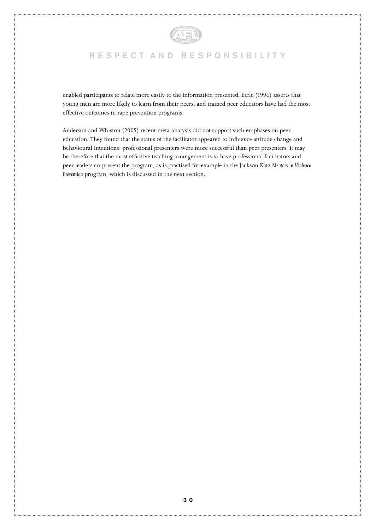

enabled participants to relate more easily to the information presented. Earle (1996) asserts that young men are more likely to learn from their peers, and trained peer educators have had the most effective outcomes in rape prevention programs.

Anderson and Whiston (2005) recent meta-analysis did not support such emphases on peer education. They found that the status of the facilitator appeared to influence attitude change and behavioural intentions: professional presenters were more successful than peer presenters. It may be therefore that the most effective teaching arrangement is to have professional facilitators and peer leaders co-present the program, as is practised for example in the Jackson Katz *Mentors in Violence Prevention* program, which is discussed in the next section.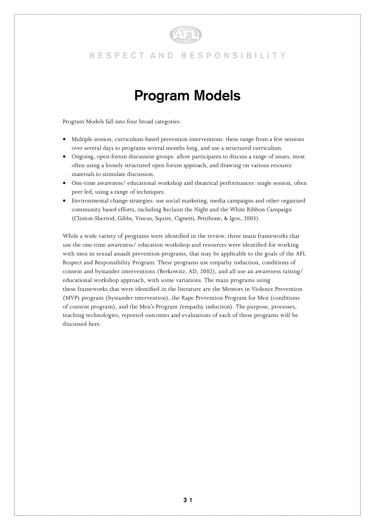

# **Program Models**

Program Models fall into four broad categories:

- Multiple session, curriculum-based prevention interventions: these range from a few sessions over several days to programs several months long, and use a structured curriculum.
- Ongoing, open-forum discussion groups: allow participants to discuss a range of issues, most often using a loosely structured open forum approach, and drawing on various resource materials to stimulate discussion.
- One-time awareness/ educational workshop and theatrical performances: single session, often peer led, using a range of techniques.
- Environmental change strategies: use social marketing, media campaigns and other organised community based efforts, including Reclaim the Night and the White Ribbon Campaign (Clinton-Sherrod, Gibbs, Vincus, Squire, Cignetti, Pettibone, & Igoe, 2003).

While a wide variety of programs were identified in the review, three main frameworks that use the one-time awareness/ education workshop and resources were identified for working with men in sexual assault prevention programs, that may be applicable to the goals of the AFL Respect and Responsibility Program. These programs use empathy induction, conditions of consent and bystander interventions (Berkowitz, AD, 2002), and all use an awareness raising/ educational workshop approach, with some variations. The main programs using these frameworks that were identified in the literature are the Mentors in Violence Prevention (MVP) program (bystander intervention), the Rape Prevention Program for Men (conditions of consent program), and the Men's Program (empathy induction). The purpose, processes, teaching technologies, reported outcomes and evaluations of each of these programs will be discussed here.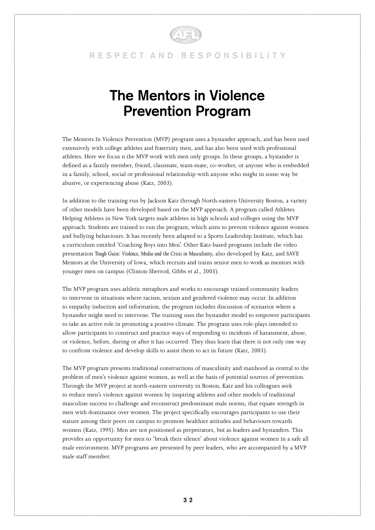

# **The Mentors in Violence Prevention Program**

The Mentors In Violence Prevention (MVP) program uses a bystander approach, and has been used extensively with college athletes and fraternity men, and has also been used with professional athletes. Here we focus n the MVP work with men only groups. In these groups, a bystander is defined as a family member, friend, classmate, team-mate, co-worker, or anyone who is embedded in a family, school, social or professional relationship with anyone who might in some way be abusive, or experiencing abuse (Katz, 2003).

In addition to the training run by Jackson Katz through North-eastern University Boston, a variety of other models have been developed based on the MVP approach. A program called Athletes Helping Athletes in New York targets male athletes in high schools and colleges using the MVP approach. Students are trained to run the program, which aims to prevent violence against women and bullying behaviours. It has recently been adapted to a Sports Leadership Institute, which has a curriculum entitled 'Coaching Boys into Men'. Other Katz-based programs include the video presentation *Tough Guise: Violence, Media and the Crisis in Masculinity*, also developed by Katz, and SAVE Mentors at the University of Iowa, which recruits and trains senior men to work as mentors with younger men on campus (Clinton-Sherrod, Gibbs et al., 2003).

The MVP program uses athletic metaphors and works to encourage trained community leaders to intervene in situations where racism, sexism and gendered violence may occur. In addition to empathy induction and information, the program includes discussion of scenarios where a bystander might need to intervene. The training uses the bystander model to empower participants to take an active role in promoting a positive climate. The program uses role-plays intended to allow participants to construct and practice ways of responding to incidents of harassment, abuse, or violence, before, during or after it has occurred. They thus learn that there is not only one way to confront violence and develop skills to assist them to act in future (Katz, 2003).

The MVP program presents traditional constructions of masculinity and manhood as central to the problem of men's violence against women, as well as the basis of potential sources of prevention. Through the MVP project at north-eastern university in Boston, Katz and his colleagues seek to reduce men's violence against women by inspiring athletes and other models of traditional masculine success to challenge and reconstruct predominant male norms, that equate strength in men with dominance over women. The project specifically encourages participants to use their stature among their peers on campus to promote healthier attitudes and behaviours towards women (Katz, 1995). Men are not positioned as perpetrators, but as leaders and bystanders. This provides an opportunity for men to 'break their silence' about violence against women in a safe all male environment. MVP programs are presented by peer leaders, who are accompanied by a MVP male staff member.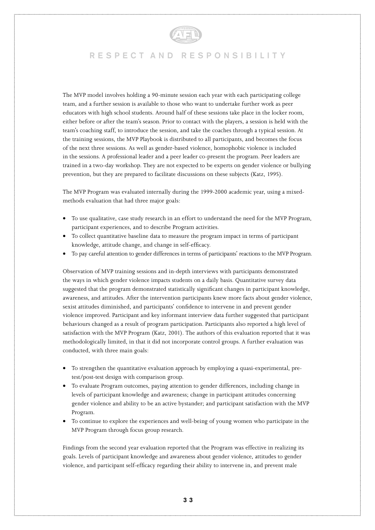

The MVP model involves holding a 90-minute session each year with each participating college team, and a further session is available to those who want to undertake further work as peer educators with high school students. Around half of these sessions take place in the locker room, either before or after the team's season. Prior to contact with the players, a session is held with the team's coaching staff, to introduce the session, and take the coaches through a typical session. At the training sessions, the MVP Playbook is distributed to all participants, and becomes the focus of the next three sessions. As well as gender-based violence, homophobic violence is included in the sessions. A professional leader and a peer leader co-present the program. Peer leaders are trained in a two-day workshop. They are not expected to be experts on gender violence or bullying prevention, but they are prepared to facilitate discussions on these subjects (Katz, 1995).

The MVP Program was evaluated internally during the 1999-2000 academic year, using a mixedmethods evaluation that had three major goals:

- To use qualitative, case study research in an effort to understand the need for the MVP Program, participant experiences, and to describe Program activities.
- To collect quantitative baseline data to measure the program impact in terms of participant knowledge, attitude change, and change in self-efficacy.
- To pay careful attention to gender differences in terms of participants' reactions to the MVP Program.

Observation of MVP training sessions and in-depth interviews with participants demonstrated the ways in which gender violence impacts students on a daily basis. Quantitative survey data suggested that the program demonstrated statistically significant changes in participant knowledge, awareness, and attitudes. After the intervention participants knew more facts about gender violence, sexist attitudes diminished, and participants' confidence to intervene in and prevent gender violence improved. Participant and key informant interview data further suggested that participant behaviours changed as a result of program participation. Participants also reported a high level of satisfaction with the MVP Program (Katz, 2001). The authors of this evaluation reported that it was methodologically limited, in that it did not incorporate control groups. A further evaluation was conducted, with three main goals:

- To strengthen the quantitative evaluation approach by employing a quasi-experimental, pretest/post-test design with comparison group.
- To evaluate Program outcomes, paying attention to gender differences, including change in levels of participant knowledge and awareness; change in participant attitudes concerning gender violence and ability to be an active bystander; and participant satisfaction with the MVP Program.
- To continue to explore the experiences and well-being of young women who participate in the MVP Program through focus group research.

Findings from the second year evaluation reported that the Program was effective in realizing its goals. Levels of participant knowledge and awareness about gender violence, attitudes to gender violence, and participant self-efficacy regarding their ability to intervene in, and prevent male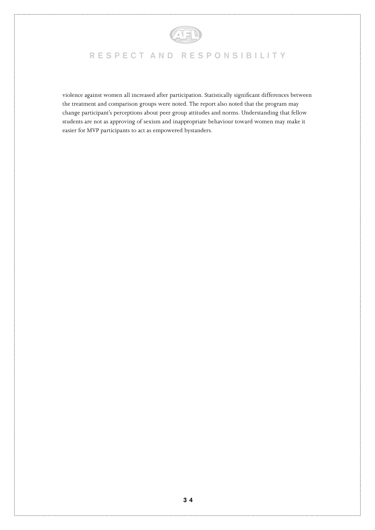

violence against women all increased after participation. Statistically significant differences between the treatment and comparison groups were noted. The report also noted that the program may change participant's perceptions about peer group attitudes and norms. Understanding that fellow students are not as approving of sexism and inappropriate behaviour toward women may make it easier for MVP participants to act as empowered bystanders.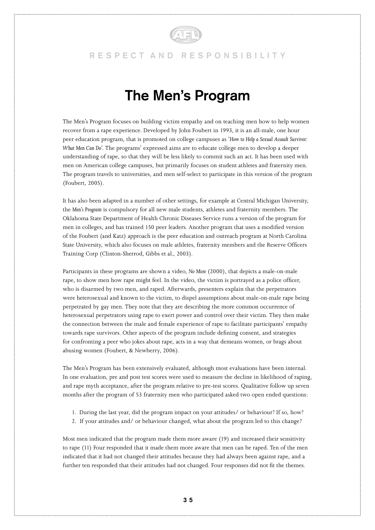

# **The Men's Program**

The Men's Program focuses on building victim empathy and on teaching men how to help women recover from a rape experience. Developed by John Foubert in 1993, it is an all-male, one hour peer education program, that is promoted on college campuses as '*How to Help a Sexual Assault Survivor: What Men Can Do'*. The programs' expressed aims are to educate college men to develop a deeper understanding of rape, so that they will be less likely to commit such an act. It has been used with men on American college campuses, but primarily focuses on student athletes and fraternity men. The program travels to universities, and men self-select to participate in this version of the program (Foubert, 2005).

It has also been adapted in a number of other settings, for example at Central Michigan University, the *Men's Program* is compulsory for all new male students, athletes and fraternity members. The Oklahoma State Department of Health Chronic Diseases Service runs a version of the program for men in colleges, and has trained 150 peer leaders. Another program that uses a modified version of the Foubert (and Katz) approach is the peer education and outreach program at North Carolina State University, which also focuses on male athletes, fraternity members and the Reserve Officers Training Corp (Clinton-Sherrod, Gibbs et al., 2003).

Participants in these programs are shown a video, *No More* (2000), that depicts a male-on-male rape, to show men how rape might feel. In the video, the victim is portrayed as a police officer, who is disarmed by two men, and raped. Afterwards, presenters explain that the perpetrators were heterosexual and known to the victim, to dispel assumptions about male-on-male rape being perpetrated by gay men. They note that they are describing the more common occurrence of heterosexual perpetrators using rape to exert power and control over their victim. They then make the connection between the male and female experience of rape to facilitate participants' empathy towards rape survivors. Other aspects of the program include defining consent, and strategies for confronting a peer who jokes about rape, acts in a way that demeans women, or brags about abusing women (Foubert, & Newberry, 2006).

The Men's Program has been extensively evaluated, although most evaluations have been internal. In one evaluation, pre and post test scores were used to measure the decline in likelihood of raping, and rape myth acceptance, after the program relative to pre-test scores. Qualitative follow up seven months after the program of 53 fraternity men who participated asked two open ended questions:

- 1. During the last year, did the program impact on your attitudes/ or behaviour? If so, how?
- 2. If your attitudes and/ or behaviour changed, what about the program led to this change?

Most men indicated that the program made them more aware (19) and increased their sensitivity to rape (11) Four responded that it made them more aware that men can be raped. Ten of the men indicated that it had not changed their attitudes because they had always been against rape, and a further ten responded that their attitudes had not changed. Four responses did not fit the themes.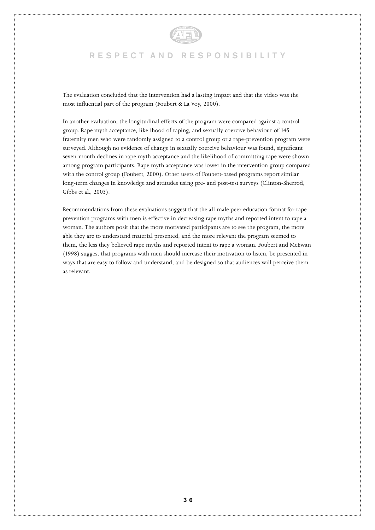

The evaluation concluded that the intervention had a lasting impact and that the video was the most influential part of the program (Foubert & La Voy, 2000).

In another evaluation, the longitudinal effects of the program were compared against a control group. Rape myth acceptance, likelihood of raping, and sexually coercive behaviour of 145 fraternity men who were randomly assigned to a control group or a rape-prevention program were surveyed. Although no evidence of change in sexually coercive behaviour was found, significant seven-month declines in rape myth acceptance and the likelihood of committing rape were shown among program participants. Rape myth acceptance was lower in the intervention group compared with the control group (Foubert, 2000). Other users of Foubert-based programs report similar long-term changes in knowledge and attitudes using pre- and post-test surveys (Clinton-Sherrod, Gibbs et al., 2003).

Recommendations from these evaluations suggest that the all-male peer education format for rape prevention programs with men is effective in decreasing rape myths and reported intent to rape a woman. The authors posit that the more motivated participants are to see the program, the more able they are to understand material presented, and the more relevant the program seemed to them, the less they believed rape myths and reported intent to rape a woman. Foubert and McEwan (1998) suggest that programs with men should increase their motivation to listen, be presented in ways that are easy to follow and understand, and be designed so that audiences will perceive them as relevant.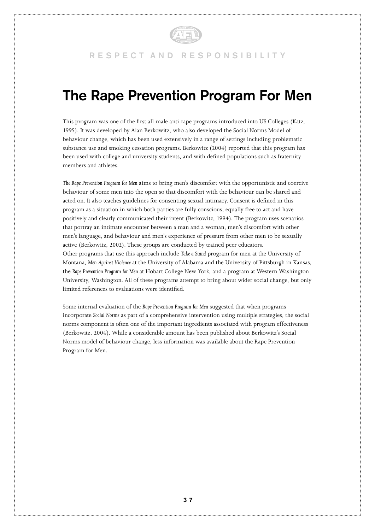

# **The Rape Prevention Program For Men**

This program was one of the first all-male anti-rape programs introduced into US Colleges (Katz, 1995). It was developed by Alan Berkowitz, who also developed the Social Norms Model of behaviour change, which has been used extensively in a range of settings including problematic substance use and smoking cessation programs. Berkowitz (2004) reported that this program has been used with college and university students, and with defined populations such as fraternity members and athletes.

*The Rape Prevention Program for Men* aims to bring men's discomfort with the opportunistic and coercive behaviour of some men into the open so that discomfort with the behaviour can be shared and acted on. It also teaches guidelines for consenting sexual intimacy. Consent is defined in this program as a situation in which both parties are fully conscious, equally free to act and have positively and clearly communicated their intent (Berkowitz, 1994). The program uses scenarios that portray an intimate encounter between a man and a woman, men's discomfort with other men's language, and behaviour and men's experience of pressure from other men to be sexually active (Berkowitz, 2002). These groups are conducted by trained peer educators. Other programs that use this approach include *Take a Stand* program for men at the University of Montana, *Men Against Violence* at the University of Alabama and the University of Pittsburgh in Kansas, the *Rape Prevention Program for Men* at Hobart College New York, and a program at Western Washington University, Washington. All of these programs attempt to bring about wider social change, but only limited references to evaluations were identified.

Some internal evaluation of the *Rape Prevention Program for Men* suggested that when programs incorporate *Social Norms* as part of a comprehensive intervention using multiple strategies, the social norms component is often one of the important ingredients associated with program effectiveness (Berkowitz, 2004). While a considerable amount has been published about Berkowitz's Social Norms model of behaviour change, less information was available about the Rape Prevention Program for Men.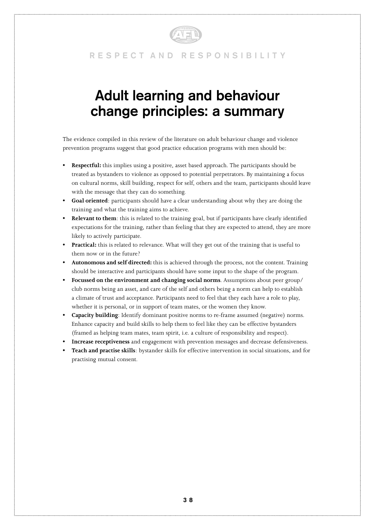

# **Adult learning and behaviour change principles: a summary**

The evidence compiled in this review of the literature on adult behaviour change and violence prevention programs suggest that good practice education programs with men should be:

- **Respectful:** this implies using a positive, asset based approach. The participants should be treated as bystanders to violence as opposed to potential perpetrators. By maintaining a focus on cultural norms, skill building, respect for self, others and the team, participants should leave with the message that they can do something.
- **• Goal oriented**: participants should have a clear understanding about why they are doing the training and what the training aims to achieve.
- **• Relevant to them**: this is related to the training goal, but if participants have clearly identified expectations for the training, rather than feeling that they are expected to attend, they are more likely to actively participate.
- **• Practical:** this is related to relevance. What will they get out of the training that is useful to them now or in the future?
- **• Autonomous and self directed:** this is achieved through the process, not the content. Training should be interactive and participants should have some input to the shape of the program.
- **• Focussed on the environment and changing social norms**. Assumptions about peer group/ club norms being an asset, and care of the self and others being a norm can help to establish a climate of trust and acceptance. Participants need to feel that they each have a role to play, whether it is personal, or in support of team mates, or the women they know.
- **• Capacity building**: Identify dominant positive norms to re-frame assumed (negative) norms. Enhance capacity and build skills to help them to feel like they can be effective bystanders (framed as helping team mates, team spirit, i.e. a culture of responsibility and respect).
- **• Increase receptiveness** and engagement with prevention messages and decrease defensiveness.
- **• Teach and practise skills**: bystander skills for effective intervention in social situations, and for practising mutual consent.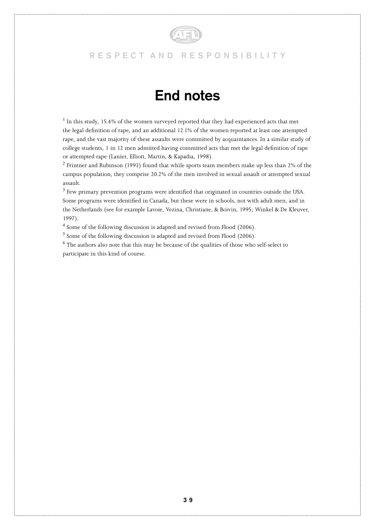

# **End notes**

 $<sup>1</sup>$  In this study, 15.4% of the women surveyed reported that they had experienced acts that met</sup> the legal definition of rape, and an additional 12.1% of the women reported at least one attempted rape, and the vast majority of these assaults were committed by acquaintances. In a similar study of college students, 1 in 12 men admitted having committed acts that met the legal definition of rape or attempted rape (Lanier, Elliott, Martin, & Kapadia, 1998).

 $^2$  Frintner and Rubinson (1993) found that while sports team members make up less than 2% of the campus population, they comprise 20.2% of the men involved in sexual assault or attempted sexual assault.

 $^3$  Few primary prevention programs were identified that originated in countries outside the USA. Some programs were identified in Canada, but these were in schools, not with adult men, and in the Netherlands (see for example Lavoie, Vezina, Christiane, & Boivin, 1995; Winkel & De Kleuver, 1997).

<sup>4</sup> Some of the following discussion is adapted and revised from Flood (2006).

<sup>5</sup> Some of the following discussion is adapted and revised from Flood (2006).

 $^6$  The authors also note that this may be because of the qualities of those who self-select to participate in this kind of course.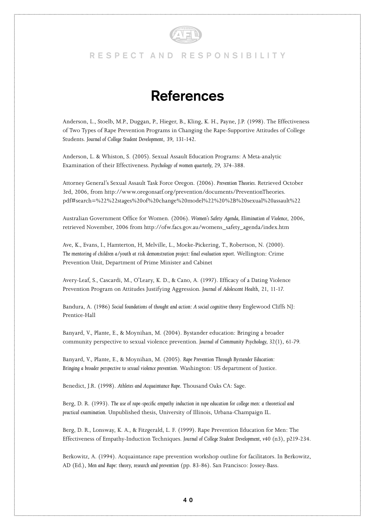

# **References**

Anderson, L., Stoelb, M.P., Duggan, P., Hieger, B., Kling, K. H., Payne, J.P. (1998). The Effectiveness of Two Types of Rape Prevention Programs in Changing the Rape-Supportive Attitudes of College Students. *Journal of College Student Development*, 39, 131-142.

Anderson, L. & Whiston, S. (2005). Sexual Assault Education Programs: A Meta-analytic Examination of their Effectiveness. *Psychology of women quarterly, 29*, 374-388.

Attorney General's Sexual Assault Task Force Oregon. (2006). *Prevention Theories*. Retrieved October 3rd, 2006, from http://www.oregonsatf.org/prevention/documents/PreventionTheories. pdf#search=%22%22stages%20of%20change%20model%22%20%2B%20sexual%20assault%22

Australian Government Office for Women. (2006). *Women's Safety Agenda, Elimination of Violence*, 2006, retrieved November, 2006 from http://ofw.facs.gov.au/womens\_safety\_agenda/index.htm

Ave, K., Evans, I., Hamterton, H, Melville, L., Moeke-Pickering, T., Robertson, N. (2000). *The mentoring of children a/youth at risk demonstration project: final evaluation report.* Wellington: Crime Prevention Unit, Department of Prime Minister and Cabinet

Avery-Leaf, S., Cascardi, M., O'Leary, K. D., & Cano, A. (1997). Efficacy of a Dating Violence Prevention Program on Attitudes Justifying Aggression. *Journal of Adolescent Health*, 21, 11-17.

Bandura, A. (1986) Social foundations of thought and action: A social cognitive theory Englewood Cliffs NJ: Prentice-Hall

Banyard, V., Plante, E., & Moynihan, M. (2004). Bystander education: Bringing a broader community perspective to sexual violence prevention. *Journal of Community Psychology, 32*(1), 61-79.

Banyard, V., Plante, E., & Moynihan, M. (2005). *Rape Prevention Through Bystander Education: Bringing a broader perspective to sexual violence prevention*. Washington: US department of Justice.

Benedict, J.R. (1998). *Athletes and Acquaintance Rape*. Thousand Oaks CA: Sage.

Berg, D. R. (1993). *The use of rape-specific empathy induction in rape education for college men: a theoretical and practical examination.* Unpublished thesis, University of Illinois, Urbana-Champaign IL.

Berg, D. R., Lonsway, K. A., & Fitzgerald, L. F. (1999). Rape Prevention Education for Men: The Effectiveness of Empathy-Induction Techniques. *Journal of College Student Development, v40* (n3), p219-234.

Berkowitz, A. (1994). Acquaintance rape prevention workshop outline for facilitators. In Berkowitz, AD (Ed.), *Men and Rape: theory, research and prevention* (pp. 83-86). San Francisco: Jossey-Bass.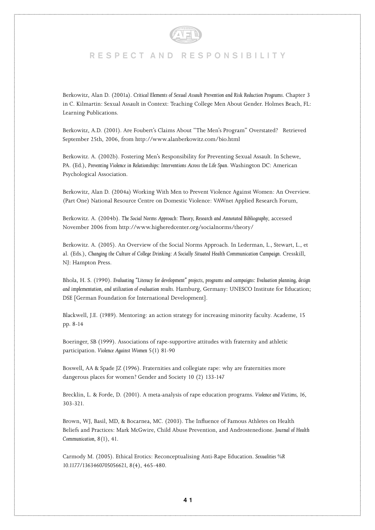

Berkowitz, Alan D. (2001a). *Critical Elements of Sexual Assault Prevention and Risk Reduction Programs*. Chapter 3 in C. Kilmartin: Sexual Assault in Context: Teaching College Men About Gender. Holmes Beach, FL: Learning Publications.

Berkowitz, A.D. (2001). Are Foubert's Claims About "The Men's Program" Overstated? Retrieved September 25th, 2006, from http://www.alanberkowitz.com/bio.html

Berkowitz. A. (2002b). Fostering Men's Responsibility for Preventing Sexual Assault. In Schewe, PA. (Ed.), *Preventing Violence in Relationships: Interventions Across the Life Span*. Washington DC: American Psychological Association.

Berkowitz, Alan D. (2004a) Working With Men to Prevent Violence Against Women: An Overview. (Part One) National Resource Centre on Domestic Violence: VAWnet Applied Research Forum,

Berkowitz. A. (2004b). *The Social Norms Approach: Theory, Research and Annotated Bibliography*, accessed November 2006 from http://www.higheredcenter.org/socialnorms/theory/

Berkowitz. A. (2005). An Overview of the Social Norms Approach. In Lederman, L., Stewart, L., et al. (Eds.), *Changing the Culture of College Drinking: A Socially Situated Health Communication Campaign*. Cresskill, NJ: Hampton Press.

Bhola, H. S. (1990). *Evaluating "Literacy for development" projects, programs and campaigns: Evaluation planning, design and implementation, and utilization of evaluation results.* Hamburg, Germany: UNESCO Institute for Education; DSE [German Foundation for International Development].

Blackwell, J.E. (1989). Mentoring: an action strategy for increasing minority faculty. Academe, 15 pp. 8-14

Boeringer, SB (1999). Associations of rape-supportive attitudes with fraternity and athletic participation. *Violence Against Women* 5(1) 81-90

Boswell, AA & Spade JZ (1996). Fraternities and collegiate rape: why are fraternities more dangerous places for women? Gender and Society 10 (2) 133-147

Brecklin, L. & Forde, D. (2001). A meta-analysis of rape education programs. *Violence and Victims, 16*, 303-321.

Brown, WJ, Basil, MD, & Bocarnea, MC. (2003). The Influence of Famous Athletes on Health Beliefs and Practices: Mark McGwire, Child Abuse Prevention, and Androstenedione. *Journal of Health Communication, 8*(1), 41.

Carmody M. (2005). Ethical Erotics: Reconceptualising Anti-Rape Education. *Sexualities %R 10.1177/1363460705056621, 8*(4), 465-480.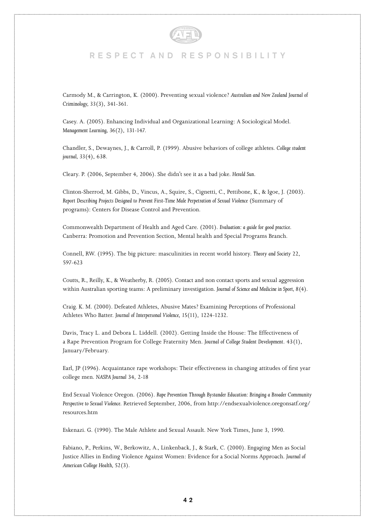

Carmody M., & Carrington, K. (2000). Preventing sexual violence? *Australian and New Zealand Journal of Criminology, 33*(3), 341-361.

Casey. A. (2005). Enhancing Individual and Organizational Learning: A Sociological Model. *Management Learning, 36*(2), 131-147.

Chandler, S., Dewaynes, J., & Carroll, P. (1999). Abusive behaviors of college athletes. *College student journal, 33*(4), 638.

Cleary. P. (2006, September 4, 2006). She didn't see it as a bad joke*. Herald Sun*.

Clinton-Sherrod, M. Gibbs, D., Vincus, A., Squire, S., Cignetti, C., Pettibone, K., & Igoe, J. (2003). *Report Describing Projects Designed to Prevent First-Time Male Perpetration of Sexual Violence* (Summary of programs): Centers for Disease Control and Prevention.

Commonwealth Department of Health and Aged Care. (2001). *Evaluation: a guide for good practice*. Canberra: Promotion and Prevention Section, Mental health and Special Programs Branch.

Connell, RW. (1995). The big picture: masculinities in recent world history. *Theory and Society* 22, 597-623

Coutts, R., Reilly, K., & Weatherby, R. (2005). Contact and non contact sports and sexual aggression within Australian sporting teams: A preliminary investigation. *Journal of Science and Medicine in Sport, 8*(4).

Craig. K. M. (2000). Defeated Athletes, Abusive Mates? Examining Perceptions of Professional Athletes Who Batter. *Journal of Interpersonal Violence, 15*(11), 1224-1232.

Davis, Tracy L. and Debora L. Liddell. (2002). Getting Inside the House: The Effectiveness of a Rape Prevention Program for College Fraternity Men. *Journal of College Student Development*. 43(1), January/February.

Earl, JP (1996). Acquaintance rape workshops: Their effectiveness in changing attitudes of first year college men. *NASPA Journal* 34, 2-18

End Sexual Violence Oregon. (2006). *Rape Prevention Through Bystander Education: Bringing a Broader Community Perspective to Sexual Violence*. Retrieved September, 2006, from http://endsexualviolence.oregonsatf.org/ resources.htm

Eskenazi. G. (1990). The Male Athlete and Sexual Assault. New York Times, June 3, 1990.

Fabiano, P., Perkins, W., Berkowitz, A., Linkenback, J., & Stark, C. (2000). Engaging Men as Social Justice Allies in Ending Violence Against Women: Evidence for a Social Norms Approach. *Journal of American College Health, 52*(3).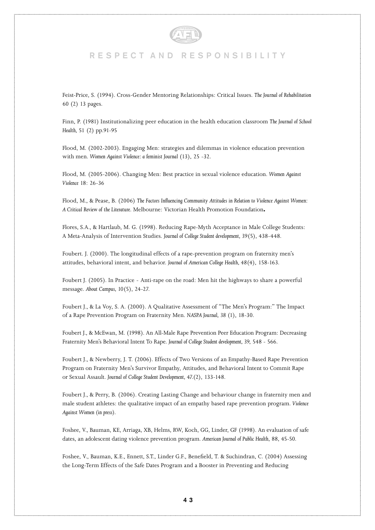

Feist-Price, S. (1994). Cross-Gender Mentoring Relationships: Critical Issues. *The Journal of Rehabilitation* 60 (2) 13 pages.

Finn, P. (1981) Institutionalizing peer education in the health education classroom *The Journal of School Health,* 51 (2) pp.91-95

Flood, M. (2002-2003). Engaging Men: strategies and dilemmas in violence education prevention with men. *Women Against Violence: a feminist Journal* (13), 25 -32.

Flood, M. (2005-2006). Changing Men: Best practice in sexual violence education. *Women Against Violence* 18: 26-36

Flood, M., & Pease, B. (2006) *The Factors Influencing Community Attitudes in Relation to Violence Against Women: A Critical Review of the Literature*. Melbourne: Victorian Health Promotion Foundation**.**

Flores, S.A., & Hartlaub, M. G. (1998). Reducing Rape-Myth Acceptance in Male College Students: A Meta-Analysis of Intervention Studies. *Journal of College Student development, 39*(5), 438-448.

Foubert. J. (2000). The longitudinal effects of a rape-prevention program on fraternity men's attitudes, behavioral intent, and behavior. *Journal of American College Health, 48*(4), 158-163.

Foubert J. (2005). In Practice - Anti-rape on the road: Men hit the highways to share a powerful message. *About Campus, 10*(5), 24-27.

Foubert J., & La Voy, S. A. (2000). A Qualitative Assessment of "The Men's Program:" The Impact of a Rape Prevention Program on Fraternity Men. *NASPA Journal, 38* (1), 18-30.

Foubert J., & McEwan, M. (1998). An All-Male Rape Prevention Peer Education Program: Decreasing Fraternity Men's Behavioral Intent To Rape. *Journal of College Student development, 39*, 548 - 566.

Foubert J., & Newberry, J. T. (2006). Effects of Two Versions of an Empathy-Based Rape Prevention Program on Fraternity Men's Survivor Empathy, Attitudes, and Behavioral Intent to Commit Rape or Sexual Assault. *Journal of College Student Development, 47.*(2), 133-148.

Foubert J., & Perry, B. (2006). Creating Lasting Change and behaviour change in fraternity men and male student athletes: the qualitative impact of an empathy based rape prevention program. *Violence Against Women (in press)*.

Foshee, V., Bauman, KE, Arriaga, XB, Helms, RW, Koch, GG, Linder, GF (1998). An evaluation of safe dates, an adolescent dating violence prevention program. *American Journal of Public Health*, 88, 45-50.

Foshee, V., Bauman, K.E., Ennett, S.T., Linder G.F., Benefield, T. & Suchindran, C. (2004) Assessing the Long-Term Effects of the Safe Dates Program and a Booster in Preventing and Reducing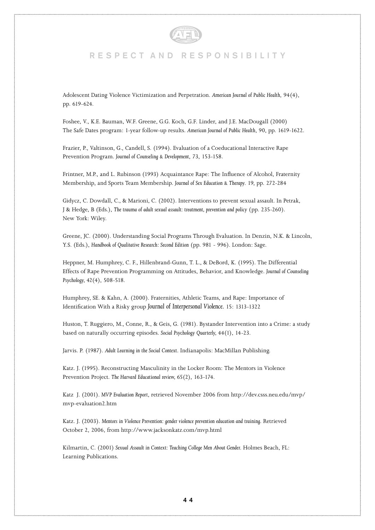

Adolescent Dating Violence Victimization and Perpetration. *American Journal of Public Health*, 94(4), pp. 619-624.

Foshee, V., K.E. Bauman, W.F. Greene, G.G. Koch, G.F. Linder, and J.E. MacDougall (2000) The Safe Dates program: 1-year follow-up results. *American Journal of Public Health*, 90, pp. 1619-1622.

Frazier, P., Valtinson, G., Candell, S. (1994). Evaluation of a Coeducational Interactive Rape Prevention Program. *Journal of Counseling & Development*, 73, 153-158.

Frintner, M.P., and L. Rubinson (1993) Acquaintance Rape: The Influence of Alcohol, Fraternity Membership, and Sports Team Membership. *Journal of Sex Education & Therapy*. 19, pp. 272-284

Gidycz, C. Dowdall, C., & Marioni, C. (2002). Interventions to prevent sexual assault. In Petrak, J & Hedge, B (Eds.), *The trauma of adult sexual assault: treatment, prevention and policy* (pp. 235-260). New York: Wiley.

Greene, JC. (2000). Understanding Social Programs Through Evaluation. In Denzin, N.K. & Lincoln, Y.S. (Eds.), *Handbook of Qualitative Research: Second Edition* (pp. 981 - 996). London: Sage.

Heppner, M. Humphrey, C. F., Hillenbrand-Gunn, T. L., & DeBord, K. (1995). The Differential Effects of Rape Prevention Programming on Attitudes, Behavior, and Knowledge. *Journal of Counseling Psychology, 42*(4), 508-518.

Humphrey, SE. & Kahn, A. (2000). Fraternities, Athletic Teams, and Rape: Importance of Identification With a Risky group *Journal of Interpersonal Violence.* 15: 1313-1322

Huston, T. Ruggiero, M., Conne, R., & Geis, G. (1981). Bystander Intervention into a Crime: a study based on naturally occurring episodes. *Social Psychology Quarterly, 44*(1), 14-23.

Jarvis. P. (1987). *Adult Learning in the Social Context*. Indianapolis: MacMillan Publishing.

Katz. J. (1995). Reconstructing Masculinity in the Locker Room: The Mentors in Violence Prevention Project. *The Harvard Educational review, 65*(2), 163-174.

Katz J. (2001). *MVP Evaluation Report*, retrieved November 2006 from http://dev.csss.neu.edu/mvp/ mvp-evaluation2.htm

Katz. J. (2003). *Mentors in Violence Prevention: gender violence prevention education and training*. Retrieved October 2, 2006, from http://www.jacksonkatz.com/mvp.html

Kilmartin, C. (2001) *Sexual Assault in Context: Teaching College Men About Gender.* Holmes Beach, FL: Learning Publications.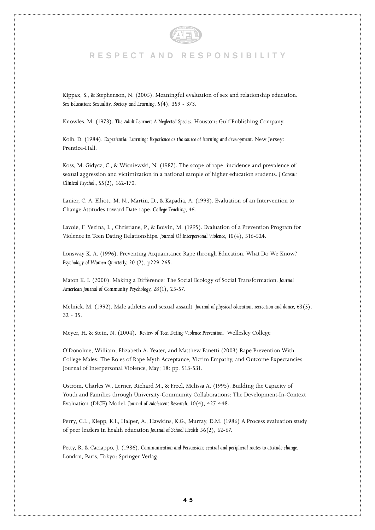

Kippax, S., & Stephenson, N. (2005). Meaningful evaluation of sex and relationship education. *Sex Education: Sexuality, Society and Learning, 5*(4), 359 - 373.

Knowles. M. (1973). *The Adult Learner: A Neglected Species.* Houston: Gulf Publishing Company.

Kolb. D. (1984). *Experiential Learning: Experience as the source of learning and development*. New Jersey: Prentice-Hall.

Koss, M. Gidycz, C., & Wisniewski, N. (1987). The scope of rape: incidence and prevalence of sexual aggression and victimization in a national sample of higher education students. *J Consult Clinical Psychol., 55*(2), 162-170.

Lanier, C. A. Elliott, M. N., Martin, D., & Kapadia, A. (1998). Evaluation of an Intervention to Change Attitudes toward Date-rape. *College Teaching, 46*.

Lavoie, F. Vezina, L., Christiane, P., & Boivin, M. (1995). Evaluation of a Prevention Program for Violence in Teen Dating Relationships. *Journal Of Interpersonal Violence, 10*(4), 516-524.

Lonsway K. A. (1996). Preventing Acquaintance Rape through Education. What Do We Know? *Psychology of Women Quarterly, 20* (2), p229-265.

Maton K. I. (2000). Making a Difference: The Social Ecology of Social Transformation. *Journal American Journal of Community Psychology, 28*(1), 25-57.

Melnick. M. (1992). Male athletes and sexual assault. *Journal of physical education, recreation and dance, 63*(5),  $32 - 35$ 

Meyer, H. & Stein, N. (2004). *Review of Teen Dating Violence Prevention.* Wellesley College

O'Donohue, William, Elizabeth A. Yeater, and Matthew Fanetti (2003) Rape Prevention With College Males: The Roles of Rape Myth Acceptance, Victim Empathy, and Outcome Expectancies. Journal of Interpersonal Violence, May; 18: pp. 513-531.

Ostrom, Charles W., Lerner, Richard M., & Freel, Melissa A. (1995). Building the Capacity of Youth and Families through University-Community Collaborations: The Development-In-Context Evaluation (DICE) Model. *Journal of Adolescent Research, 10*(4), 427-448.

Perry, C.L., Klepp, K.I., Halper, A., Hawkins, K.G., Murray, D.M. (1986) A Process evaluation study of peer leaders in health education *Journal of School Health* 56(2), 62-67.

Petty, R. & Caciappo, J. (1986). *Communication and Persuasion: central and peripheral routes to attitude change*. London, Paris, Tokyo: Springer-Verlag.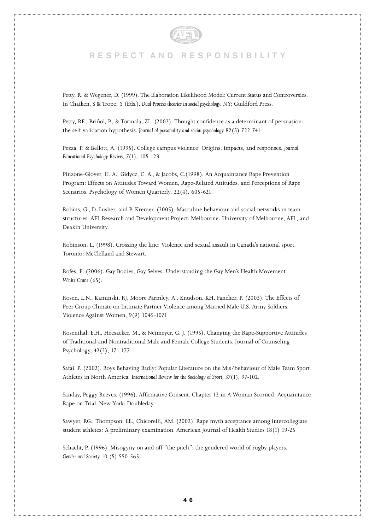

Petty, R. & Wegener, D. (1999). The Elaboration Likelihood Model: Current Status and Controversies. In Chaiken, S & Trope, Y (Eds.), *Dual Process theories in social psychology*. NY: Guildford Press.

Petty, RE., Briñol, P., & Tormala, ZL. (2002). Thought confidence as a determinant of persuasion: the self-validation hypothesis. *Journal of personality and social psychology* 82(5) 722-741

Pezza, P. & Bellott, A. (1995). College campus violence: Origins, impacts, and responses. *Journal Educational Psychology Review, 7*(1), 105-123.

Pinzone-Glover, H. A., Gidycz, C. A., & Jacobs, C.(1998). An Acquaintance Rape Prevention Program: Effects on Attitudes Toward Women, Rape-Related Attitudes, and Perceptions of Rape Scenarios. Psychology of Women Quarterly, 22(4), 605-621.

Robins, G., D. Lusher, and P. Kremer. (2005). Masculine behaviour and social networks in team structures. AFL Research and Development Project. Melbourne: University of Melbourne, AFL, and Deakin University.

Robinson, L. (1998). Crossing the line: Violence and sexual assault in Canada's national sport. Toronto: McClelland and Stewart.

Rofes, E. (2006). Gay Bodies, Gay Selves: Understanding the Gay Men's Health Movement. *White Crane* (65).

Rosen, L.N., Kaminski, RJ, Moore Parmley, A., Knudson, KH, Fancher, P. (2003). The Effects of Peer Group Climate on Intimate Partner Violence among Married Male U.S. Army Soldiers. Violence Against Women, 9(9) 1045-1071

Rosenthal, E.H., Heesacker, M., & Neimeyer, G. J. (1995). Changing the Rape-Supportive Attitudes of Traditional and Nontraditional Male and Female College Students. Journal of Counseling Psychology, 42(2), 171-177.

Safai. P. (2002). Boys Behaving Badly: Popular Literature on the Mis/behaviour of Male Team Sport Athletes in North America. *International Review for the Sociology of Sport, 37*(1), 97-102.

Sanday, Peggy Reeves. (1996). Affirmative Consent. Chapter 12 in A Woman Scorned: Acquaintance Rape on Trial. New York: Doubleday.

Sawyer, RG., Thompson, EE., Chicorelli, AM. (2002). Rape myth acceptance among intercollegiate student athletes: A preliminary examination. American Journal of Health Studies 18(1) 19-25

Schacht, P. (1996). Misogyny on and off "the pitch": the gendered world of rugby players. *Gender and Society* 10 (5) 550-565.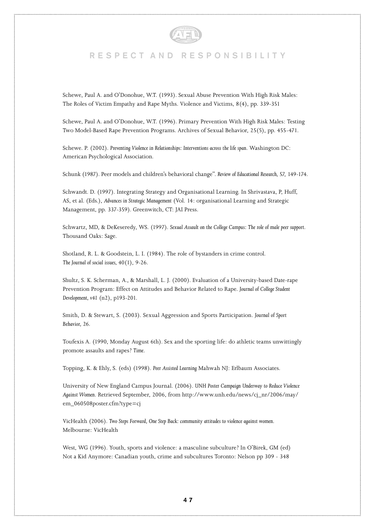

Schewe, Paul A. and O'Donohue, W.T. (1993). Sexual Abuse Prevention With High Risk Males: The Roles of Victim Empathy and Rape Myths. Violence and Victims, 8(4), pp. 339-351

Schewe, Paul A. and O'Donohue, W.T. (1996). Primary Prevention With High Risk Males: Testing Two Model-Based Rape Prevention Programs. Archives of Sexual Behavior, 25(5), pp. 455-471.

Schewe. P. (2002). *Preventing Violence in Relationships: Interventions across the life span*. Washington DC: American Psychological Association.

Schunk (1987). Peer models and children's behavioral change". *Review of Educational Research, 57*, 149-174.

Schwandt. D. (1997). Integrating Strategy and Organisational Learning. In Shrivastava, P, Huff, AS, et al. (Eds.), *Advances in Strategic Management* (Vol. 14: organisational Learning and Strategic Management, pp. 337-359). Greenwitch, CT: JAI Press.

Schwartz, MD, & DeKeseredy, WS. (1997). *Sexual Assault on the College Campus: The role of male peer support*. Thousand Oaks: Sage.

Shotland, R. L. & Goodstein, L. I. (1984). The role of bystanders in crime control. *The Journal of social issues, 40*(1), 9-26.

Shultz, S. K. Scherman, A., & Marshall, L. J. (2000). Evaluation of a University-based Date-rape Prevention Program: Effect on Attitudes and Behavior Related to Rape. *Journal of College Student Development, v41* (n2), p193-201.

Smith, D. & Stewart, S. (2003). Sexual Aggression and Sports Participation. *Journal of Sport Behavior, 26*.

Toufexis A. (1990, Monday August 6th). Sex and the sporting life: do athletic teams unwittingly promote assaults and rapes? *Time*.

Topping, K. & Ehly, S. (eds) (1998). *Peer Assisted Learning* Mahwah NJ: Erlbaum Associates.

University of New England Campus Journal. (2006). *UNH Poster Campaign Underway to Reduce Violence Against Women*. Retrieved September, 2006, from http://www.unh.edu/news/cj\_nr/2006/may/ em\_060508poster.cfm?type=cj

VicHealth (2006). *Two Steps Forward, One Step Back: community attitudes to violence against women.*  Melbourne: VicHealth

West, WG (1996). Youth, sports and violence: a masculine subculture? In O'Birek, GM (ed) Not a Kid Anymore: Canadian youth, crime and subcultures Toronto: Nelson pp 309 - 348